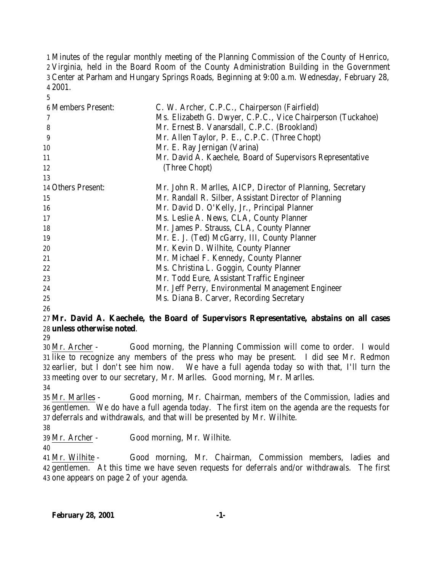Minutes of the regular monthly meeting of the Planning Commission of the County of Henrico, Virginia, held in the Board Room of the County Administration Building in the Government Center at Parham and Hungary Springs Roads, Beginning at 9:00 a.m. Wednesday, February 28, 2001.

| C. W. Archer, C.P.C., Chairperson (Fairfield)               |
|-------------------------------------------------------------|
| Ms. Elizabeth G. Dwyer, C.P.C., Vice Chairperson (Tuckahoe) |
| Mr. Ernest B. Vanarsdall, C.P.C. (Brookland)                |
| Mr. Allen Taylor, P. E., C.P.C. (Three Chopt)               |
| Mr. E. Ray Jernigan (Varina)                                |
| Mr. David A. Kaechele, Board of Supervisors Representative  |
| (Three Chopt)                                               |
|                                                             |
| Mr. John R. Marlles, AICP, Director of Planning, Secretary  |
| Mr. Randall R. Silber, Assistant Director of Planning       |
| Mr. David D. O'Kelly, Jr., Principal Planner                |
| Ms. Leslie A. News, CLA, County Planner                     |
| Mr. James P. Strauss, CLA, County Planner                   |
| Mr. E. J. (Ted) McGarry, III, County Planner                |
| Mr. Kevin D. Wilhite, County Planner                        |
| Mr. Michael F. Kennedy, County Planner                      |
| Ms. Christina L. Goggin, County Planner                     |
| Mr. Todd Eure, Assistant Traffic Engineer                   |
| Mr. Jeff Perry, Environmental Management Engineer           |
| Ms. Diana B. Carver, Recording Secretary                    |
|                                                             |

### **Mr. David A. Kaechele, the Board of Supervisors Representative, abstains on all cases unless otherwise noted**.

 Mr. Archer - Good morning, the Planning Commission will come to order. I would like to recognize any members of the press who may be present. I did see Mr. Redmon earlier, but I don't see him now. We have a full agenda today so with that, I'll turn the meeting over to our secretary, Mr. Marlles. Good morning, Mr. Marlles.

 Mr. Marlles - Good morning, Mr. Chairman, members of the Commission, ladies and gentlemen. We do have a full agenda today. The first item on the agenda are the requests for deferrals and withdrawals, and that will be presented by Mr. Wilhite.

Mr. Archer - Good morning, Mr. Wilhite.

 Mr. Wilhite - Good morning, Mr. Chairman, Commission members, ladies and gentlemen. At this time we have seven requests for deferrals and/or withdrawals. The first one appears on page 2 of your agenda.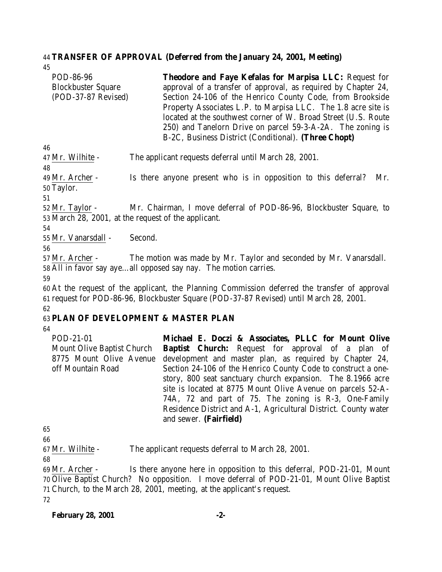#### 44 **TRANSFER OF APPROVAL (Deferred from the January 24, 2001, Meeting)**

| 45                        |                                                                |
|---------------------------|----------------------------------------------------------------|
| POD-86-96                 | Theodore and Faye Kefalas for Marpisa LLC: Request for         |
| <b>Blockbuster Square</b> | approval of a transfer of approval, as required by Chapter 24, |
| (POD-37-87 Revised)       | Section 24-106 of the Henrico County Code, from Brookside      |
|                           | Property Associates L.P. to Marpisa LLC. The 1.8 acre site is  |
|                           | located at the southwest corner of W. Broad Street (U.S. Route |
|                           | 250) and Tanelorn Drive on parcel 59-3-A-2A. The zoning is     |
|                           | B-2C, Business District (Conditional). (Three Chopt)           |
| 46                        |                                                                |
| 47 Mr. Wilhite -          | The applicant requests deferral until March 28, 2001.          |

48 49 Mr. Archer - Is there anyone present who is in opposition to this deferral? Mr. 50 Taylor.

51

52 Mr. Taylor - Mr. Chairman, I move deferral of POD-86-96, Blockbuster Square, to 53 March 28, 2001, at the request of the applicant.

54

55 Mr. Vanarsdall - Second.

56

57 Mr. Archer - The motion was made by Mr. Taylor and seconded by Mr. Vanarsdall. 58 All in favor say aye…all opposed say nay. The motion carries.

59

60 At the request of the applicant, the Planning Commission deferred the transfer of approval 61 request for POD-86-96, Blockbuster Square (POD-37-87 Revised) until March 28, 2001. 62

### 63 **PLAN OF DEVELOPMENT & MASTER PLAN**

64

| POD-21-01                         | Michael E. Doczi & Associates, PLLC for Mount Olive                                       |
|-----------------------------------|-------------------------------------------------------------------------------------------|
| <b>Mount Olive Baptist Church</b> | <b>Baptist Church:</b> Request for approval of a plan of                                  |
| 8775 Mount Olive Avenue           | development and master plan, as required by Chapter 24,                                   |
| off Mountain Road                 | Section 24-106 of the Henrico County Code to construct a one-                             |
|                                   | story, 800 seat sanctuary church expansion. The 8.1966 acre                               |
|                                   | site is located at 8775 Mount Olive Avenue on parcels 52-A-                               |
|                                   | 74A, 72 and part of 75. The zoning is R-3, One-Family                                     |
|                                   | Residence District and A-1, Agricultural District. County water<br>and sewer. (Fairfield) |

65

66

67 Mr. Wilhite - The applicant requests deferral to March 28, 2001.

68

 Mr. Archer - Is there anyone here in opposition to this deferral, POD-21-01, Mount Olive Baptist Church? No opposition. I move deferral of POD-21-01, Mount Olive Baptist Church, to the March 28, 2001, meeting, at the applicant's request. 72

#### **February 28, 2001 -2-**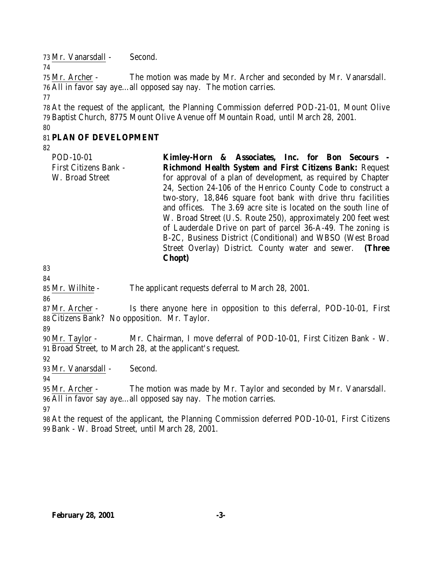Mr. Vanarsdall - Second.

 Mr. Archer - The motion was made by Mr. Archer and seconded by Mr. Vanarsdall. All in favor say aye…all opposed say nay. The motion carries.

 At the request of the applicant, the Planning Commission deferred POD-21-01, Mount Olive Baptist Church, 8775 Mount Olive Avenue off Mountain Road, until March 28, 2001.

# **PLAN OF DEVELOPMENT**

| and offices. The 3.69 acre site is located on the south line of<br>W. Broad Street (U.S. Route 250), approximately 200 feet west | Kimley-Horn & Associates, Inc. for Bon Secours -<br>Richmond Health System and First Citizens Bank: Request<br>for approval of a plan of development, as required by Chapter<br>24, Section 24-106 of the Henrico County Code to construct a<br>two-story, 18,846 square foot bank with drive thru facilities |
|----------------------------------------------------------------------------------------------------------------------------------|---------------------------------------------------------------------------------------------------------------------------------------------------------------------------------------------------------------------------------------------------------------------------------------------------------------|
| of Lauderdale Drive on part of parcel 36-A-49. The zoning is<br>B-2C, Business District (Conditional) and WBSO (West Broad       |                                                                                                                                                                                                                                                                                                               |
| Street Overlay) District. County water and sewer. (Three<br><b>Chopt</b> )                                                       |                                                                                                                                                                                                                                                                                                               |

 

Mr. Wilhite - The applicant requests deferral to March 28, 2001.

 Mr. Archer - Is there anyone here in opposition to this deferral, POD-10-01, First Citizens Bank? No opposition. Mr. Taylor.

 Mr. Taylor - Mr. Chairman, I move deferral of POD-10-01, First Citizen Bank - W. Broad Street, to March 28, at the applicant's request.

Mr. Vanarsdall - Second.

 Mr. Archer - The motion was made by Mr. Taylor and seconded by Mr. Vanarsdall. All in favor say aye…all opposed say nay. The motion carries.

 At the request of the applicant, the Planning Commission deferred POD-10-01, First Citizens Bank - W. Broad Street, until March 28, 2001.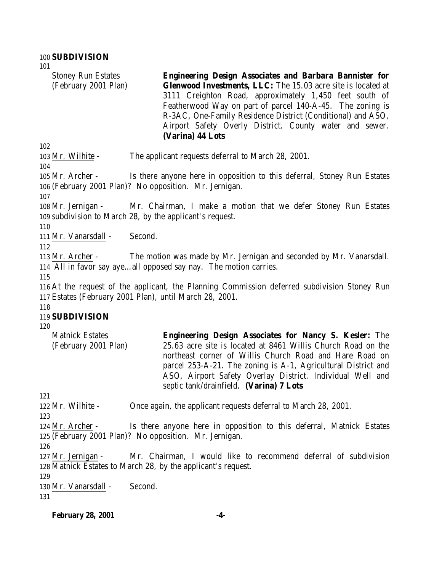Stoney Run Estates (February 2001 Plan) **Engineering Design Associates and Barbara Bannister for Glenwood Investments, LLC:** The 15.03 acre site is located at 3111 Creighton Road, approximately 1,450 feet south of Featherwood Way on part of parcel 140-A-45. The zoning is R-3AC, One-Family Residence District (Conditional) and ASO, Airport Safety Overly District. County water and sewer. **(Varina) 44 Lots**

Mr. Wilhite - The applicant requests deferral to March 28, 2001.

 Mr. Archer - Is there anyone here in opposition to this deferral, Stoney Run Estates (February 2001 Plan)? No opposition. Mr. Jernigan.

 Mr. Jernigan - Mr. Chairman, I make a motion that we defer Stoney Run Estates subdivision to March 28, by the applicant's request.

Mr. Vanarsdall - Second.

 Mr. Archer - The motion was made by Mr. Jernigan and seconded by Mr. Vanarsdall. All in favor say aye…all opposed say nay. The motion carries.

 At the request of the applicant, the Planning Commission deferred subdivision Stoney Run Estates (February 2001 Plan), until March 28, 2001.

### **SUBDIVISION**

Matnick Estates (February 2001 Plan) **Engineering Design Associates for Nancy S. Kesler:** The 25.63 acre site is located at 8461 Willis Church Road on the northeast corner of Willis Church Road and Hare Road on parcel 253-A-21. The zoning is A-1, Agricultural District and ASO, Airport Safety Overlay District. Individual Well and septic tank/drainfield. **(Varina) 7 Lots**

Mr. Wilhite - Once again, the applicant requests deferral to March 28, 2001.

 Mr. Archer - Is there anyone here in opposition to this deferral, Matnick Estates (February 2001 Plan)? No opposition. Mr. Jernigan.

 Mr. Jernigan - Mr. Chairman, I would like to recommend deferral of subdivision Matnick Estates to March 28, by the applicant's request.

 Mr. Vanarsdall - Second.

**February 28, 2001 -4-**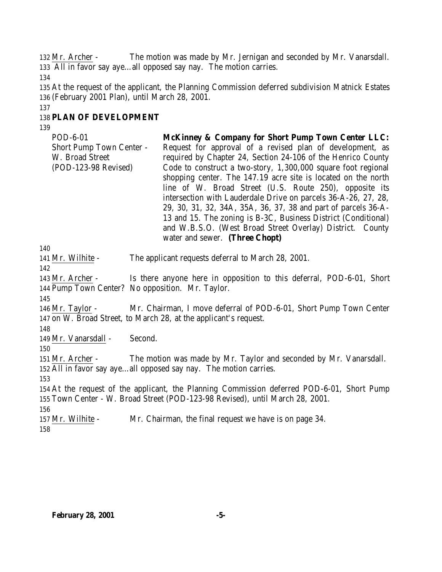132 Mr. Archer - The motion was made by Mr. Jernigan and seconded by Mr. Vanarsdall. All in favor say aye…all opposed say nay. The motion carries.

 At the request of the applicant, the Planning Commission deferred subdivision Matnick Estates (February 2001 Plan), until March 28, 2001.

# **PLAN OF DEVELOPMENT**

| POD-6-01                                                            | <b>McKinney &amp; Company for Short Pump Town Center LLC:</b>                                                                                                                                                                                                                                                                                                                                                                                                                                                                                                                                                              |
|---------------------------------------------------------------------|----------------------------------------------------------------------------------------------------------------------------------------------------------------------------------------------------------------------------------------------------------------------------------------------------------------------------------------------------------------------------------------------------------------------------------------------------------------------------------------------------------------------------------------------------------------------------------------------------------------------------|
| Short Pump Town Center -<br>W. Broad Street<br>(POD-123-98 Revised) | Request for approval of a revised plan of development, as<br>required by Chapter 24, Section 24-106 of the Henrico County<br>Code to construct a two-story, 1,300,000 square foot regional<br>shopping center. The 147.19 acre site is located on the north<br>line of W. Broad Street (U.S. Route 250), opposite its<br>intersection with Lauderdale Drive on parcels 36-A-26, 27, 28,<br>29, 30, 31, 32, 34A, 35A, 36, 37, 38 and part of parcels 36-A-<br>13 and 15. The zoning is B-3C, Business District (Conditional)<br>and W.B.S.O. (West Broad Street Overlay) District. County<br>water and sewer. (Three Chopt) |
| 140                                                                 |                                                                                                                                                                                                                                                                                                                                                                                                                                                                                                                                                                                                                            |
| 141 Mr. Wilhite -                                                   | The applicant requests deferral to March 28, 2001.                                                                                                                                                                                                                                                                                                                                                                                                                                                                                                                                                                         |
| 142                                                                 |                                                                                                                                                                                                                                                                                                                                                                                                                                                                                                                                                                                                                            |
| 143 Mr. Archer -                                                    | Is there anyone here in opposition to this deferral, POD-6-01, Short                                                                                                                                                                                                                                                                                                                                                                                                                                                                                                                                                       |
|                                                                     | 144 Pump Town Center? No opposition. Mr. Taylor.                                                                                                                                                                                                                                                                                                                                                                                                                                                                                                                                                                           |
| 145                                                                 |                                                                                                                                                                                                                                                                                                                                                                                                                                                                                                                                                                                                                            |
| 146 Mr. Taylor -                                                    | Mr. Chairman, I move deferral of POD-6-01, Short Pump Town Center<br>147 on W. Broad Street, to March 28, at the applicant's request.                                                                                                                                                                                                                                                                                                                                                                                                                                                                                      |
| 148                                                                 |                                                                                                                                                                                                                                                                                                                                                                                                                                                                                                                                                                                                                            |
| 149 Mr. Vanarsdall -                                                | Second.                                                                                                                                                                                                                                                                                                                                                                                                                                                                                                                                                                                                                    |
| 150                                                                 |                                                                                                                                                                                                                                                                                                                                                                                                                                                                                                                                                                                                                            |
| 151 Mr. Archer -                                                    | The motion was made by Mr. Taylor and seconded by Mr. Vanarsdall.                                                                                                                                                                                                                                                                                                                                                                                                                                                                                                                                                          |
|                                                                     | 152 All in favor say ayeall opposed say nay. The motion carries.                                                                                                                                                                                                                                                                                                                                                                                                                                                                                                                                                           |
| 153                                                                 |                                                                                                                                                                                                                                                                                                                                                                                                                                                                                                                                                                                                                            |
|                                                                     | 154 At the request of the applicant, the Planning Commission deferred POD-6-01, Short Pump                                                                                                                                                                                                                                                                                                                                                                                                                                                                                                                                 |
|                                                                     | 155 Town Center - W. Broad Street (POD-123-98 Revised), until March 28, 2001.                                                                                                                                                                                                                                                                                                                                                                                                                                                                                                                                              |
| 156                                                                 |                                                                                                                                                                                                                                                                                                                                                                                                                                                                                                                                                                                                                            |
| 157 Mr. Wilhite -                                                   | Mr. Chairman, the final request we have is on page 34.                                                                                                                                                                                                                                                                                                                                                                                                                                                                                                                                                                     |
| 158                                                                 |                                                                                                                                                                                                                                                                                                                                                                                                                                                                                                                                                                                                                            |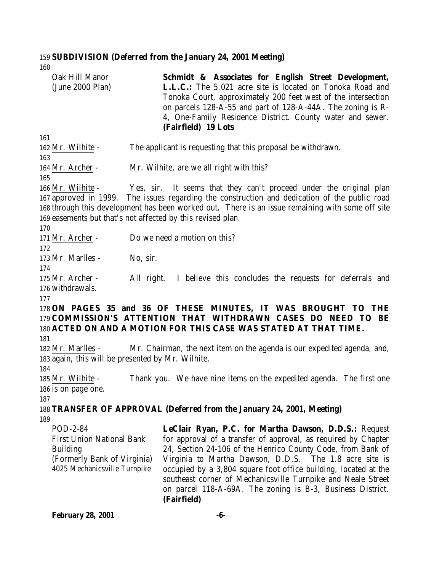# 159 **SUBDIVISION (Deferred from the January 24, 2001 Meeting)**

160

| Oak Hill Manor<br>(June 2000 Plan)                                                                                                    | Schmidt & Associates for English Street Development,<br><b>L.L.C.:</b> The 5.021 acre site is located on Tonoka Road and<br>Tonoka Court, approximately 200 feet west of the intersection<br>on parcels 128-A-55 and part of 128-A-44A. The zoning is R-<br>4, One-Family Residence District. County water and sewer.<br>(Fairfield) 19 Lots                                                                                                                     |  |  |
|---------------------------------------------------------------------------------------------------------------------------------------|------------------------------------------------------------------------------------------------------------------------------------------------------------------------------------------------------------------------------------------------------------------------------------------------------------------------------------------------------------------------------------------------------------------------------------------------------------------|--|--|
| 161                                                                                                                                   |                                                                                                                                                                                                                                                                                                                                                                                                                                                                  |  |  |
| 162 Mr. Wilhite -<br>163                                                                                                              | The applicant is requesting that this proposal be withdrawn.                                                                                                                                                                                                                                                                                                                                                                                                     |  |  |
| 164 Mr. Archer -                                                                                                                      | Mr. Wilhite, are we all right with this?                                                                                                                                                                                                                                                                                                                                                                                                                         |  |  |
| 165<br>166 Mr. Wilhite -                                                                                                              | Yes, sir. It seems that they can't proceed under the original plan<br>167 approved in 1999. The issues regarding the construction and dedication of the public road<br>168 through this development has been worked out. There is an issue remaining with some off site<br>169 easements but that's not affected by this revised plan.                                                                                                                           |  |  |
| 170<br>171 Mr. Archer -                                                                                                               | Do we need a motion on this?                                                                                                                                                                                                                                                                                                                                                                                                                                     |  |  |
| 172<br>173 Mr. Marlles -<br>174                                                                                                       | No, sir.                                                                                                                                                                                                                                                                                                                                                                                                                                                         |  |  |
| 175 Mr. Archer -<br>176 withdrawals.                                                                                                  | All right. I believe this concludes the requests for deferrals and                                                                                                                                                                                                                                                                                                                                                                                               |  |  |
| 177                                                                                                                                   | 178 ON PAGES 35 and 36 OF THESE MINUTES, IT WAS BROUGHT TO THE<br>179 COMMISSION'S ATTENTION THAT WITHDRAWN CASES DO NEED TO BE<br>180 ACTED ON AND A MOTION FOR THIS CASE WAS STATED AT THAT TIME.                                                                                                                                                                                                                                                              |  |  |
| 181<br>182 Mr. Marlles -<br>183 again, this will be presented by Mr. Wilhite.                                                         | Mr. Chairman, the next item on the agenda is our expedited agenda, and,                                                                                                                                                                                                                                                                                                                                                                                          |  |  |
| 184<br>185 Mr. Wilhite -<br>186 is on page one.                                                                                       | Thank you. We have nine items on the expedited agenda. The first one                                                                                                                                                                                                                                                                                                                                                                                             |  |  |
| 187                                                                                                                                   | 188 TRANSFER OF APPROVAL (Deferred from the January 24, 2001, Meeting)                                                                                                                                                                                                                                                                                                                                                                                           |  |  |
| 189<br>POD-2-84<br><b>First Union National Bank</b><br><b>Building</b><br>(Formerly Bank of Virginia)<br>4025 Mechanicsville Turnpike | LeClair Ryan, P.C. for Martha Dawson, D.D.S.: Request<br>for approval of a transfer of approval, as required by Chapter<br>24, Section 24-106 of the Henrico County Code, from Bank of<br>Virginia to Martha Dawson, D.D.S. The 1.8 acre site is<br>occupied by a 3,804 square foot office building, located at the<br>southeast corner of Mechanicsville Turnpike and Neale Street<br>on parcel 118-A-69A. The zoning is B-3, Business District.<br>(Fairfield) |  |  |
| <b>February 28, 2001</b>                                                                                                              | -6-                                                                                                                                                                                                                                                                                                                                                                                                                                                              |  |  |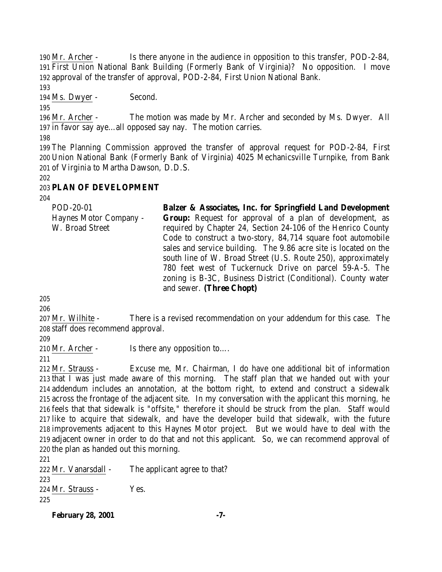Mr. Archer - Is there anyone in the audience in opposition to this transfer, POD-2-84, First Union National Bank Building (Formerly Bank of Virginia)? No opposition. I move approval of the transfer of approval, POD-2-84, First Union National Bank.

194 Ms. Dwyer - Second.

 Mr. Archer - The motion was made by Mr. Archer and seconded by Ms. Dwyer. All in favor say aye…all opposed say nay. The motion carries.

 The Planning Commission approved the transfer of approval request for POD-2-84, First Union National Bank (Formerly Bank of Virginia) 4025 Mechanicsville Turnpike, from Bank of Virginia to Martha Dawson, D.D.S.

# **PLAN OF DEVELOPMENT**

| Balzer & Associates, Inc. for Springfield Land Development       |
|------------------------------------------------------------------|
| Group: Request for approval of a plan of development, as         |
| required by Chapter 24, Section 24-106 of the Henrico County     |
| Code to construct a two-story, 84,714 square foot automobile     |
| sales and service building. The 9.86 acre site is located on the |
| south line of W. Broad Street (U.S. Route 250), approximately    |
| 780 feet west of Tuckernuck Drive on parcel 59-A-5. The          |
| zoning is B-3C, Business District (Conditional). County water    |
| and sewer. (Three Chopt)                                         |
|                                                                  |

 Mr. Wilhite - There is a revised recommendation on your addendum for this case. The staff does recommend approval.

210 Mr. Archer - Is there any opposition to....

 Mr. Strauss - Excuse me, Mr. Chairman, I do have one additional bit of information that I was just made aware of this morning. The staff plan that we handed out with your addendum includes an annotation, at the bottom right, to extend and construct a sidewalk across the frontage of the adjacent site. In my conversation with the applicant this morning, he feels that that sidewalk is "offsite," therefore it should be struck from the plan. Staff would like to acquire that sidewalk, and have the developer build that sidewalk, with the future improvements adjacent to this Haynes Motor project. But we would have to deal with the adjacent owner in order to do that and not this applicant. So, we can recommend approval of the plan as handed out this morning.

 222 Mr. Vanarsdall - The applicant agree to that? Mr. Strauss - Yes. 

**February 28, 2001 -7-**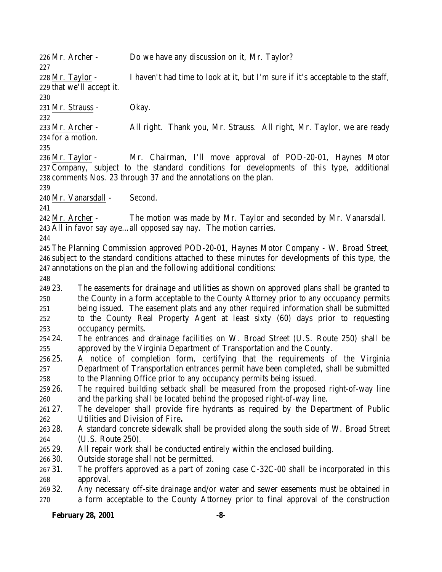226 Mr. Archer - Do we have any discussion on it, Mr. Taylor?

 Mr. Taylor - I haven't had time to look at it, but I'm sure if it's acceptable to the staff, that we'll accept it.

Mr. Strauss - Okay.

 Mr. Archer - All right. Thank you, Mr. Strauss. All right, Mr. Taylor, we are ready for a motion.

 Mr. Taylor - Mr. Chairman, I'll move approval of POD-20-01, Haynes Motor Company, subject to the standard conditions for developments of this type, additional comments Nos. 23 through 37 and the annotations on the plan.

Mr. Vanarsdall - Second.

 Mr. Archer - The motion was made by Mr. Taylor and seconded by Mr. Vanarsdall. All in favor say aye…all opposed say nay. The motion carries.

 The Planning Commission approved POD-20-01, Haynes Motor Company - W. Broad Street, subject to the standard conditions attached to these minutes for developments of this type, the annotations on the plan and the following additional conditions:

 23. The easements for drainage and utilities as shown on approved plans shall be granted to the County in a form acceptable to the County Attorney prior to any occupancy permits being issued. The easement plats and any other required information shall be submitted to the County Real Property Agent at least sixty (60) days prior to requesting occupancy permits.

 24. The entrances and drainage facilities on W. Broad Street (U.S. Route 250) shall be approved by the Virginia Department of Transportation and the County.

 25. A notice of completion form, certifying that the requirements of the Virginia Department of Transportation entrances permit have been completed, shall be submitted to the Planning Office prior to any occupancy permits being issued.

 26. The required building setback shall be measured from the proposed right-of-way line and the parking shall be located behind the proposed right-of-way line.

 27. The developer shall provide fire hydrants as required by the Department of Public Utilities and Division of Fire**.**

 28. A standard concrete sidewalk shall be provided along the south side of W. Broad Street (U.S. Route 250).

29. All repair work shall be conducted entirely within the enclosed building.

30. Outside storage shall not be permitted.

 31. The proffers approved as a part of zoning case C-32C-00 shall be incorporated in this approval.

 32. Any necessary off-site drainage and/or water and sewer easements must be obtained in a form acceptable to the County Attorney prior to final approval of the construction

# **February 28, 2001 -8-**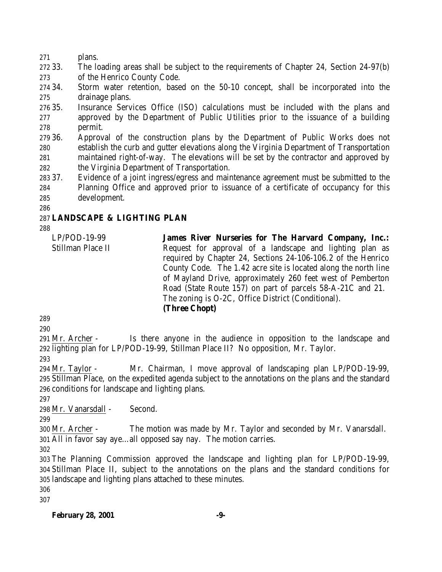plans.

 33. The loading areas shall be subject to the requirements of Chapter 24, Section 24-97(b) of the Henrico County Code.

 34. Storm water retention, based on the 50-10 concept, shall be incorporated into the drainage plans.

 35. Insurance Services Office (ISO) calculations must be included with the plans and approved by the Department of Public Utilities prior to the issuance of a building permit.

 36. Approval of the construction plans by the Department of Public Works does not establish the curb and gutter elevations along the Virginia Department of Transportation maintained right-of-way. The elevations will be set by the contractor and approved by the Virginia Department of Transportation.

 37. Evidence of a joint ingress/egress and maintenance agreement must be submitted to the Planning Office and approved prior to issuance of a certificate of occupancy for this development.

# **LANDSCAPE & LIGHTING PLAN**

LP/POD-19-99 Stillman Place II **James River Nurseries for The Harvard Company, Inc.:** Request for approval of a landscape and lighting plan as required by Chapter 24, Sections 24-106-106.2 of the Henrico County Code. The 1.42 acre site is located along the north line of Mayland Drive, approximately 260 feet west of Pemberton Road (State Route 157) on part of parcels 58-A-21C and 21. The zoning is O-2C, Office District (Conditional). **(Three Chopt)**

 Mr. Archer - Is there anyone in the audience in opposition to the landscape and lighting plan for LP/POD-19-99, Stillman Place II? No opposition, Mr. Taylor.

 Mr. Taylor - Mr. Chairman, I move approval of landscaping plan LP/POD-19-99, Stillman Place, on the expedited agenda subject to the annotations on the plans and the standard conditions for landscape and lighting plans.

Mr. Vanarsdall - Second.

 Mr. Archer - The motion was made by Mr. Taylor and seconded by Mr. Vanarsdall. All in favor say aye…all opposed say nay. The motion carries.

 The Planning Commission approved the landscape and lighting plan for LP/POD-19-99, Stillman Place II, subject to the annotations on the plans and the standard conditions for landscape and lighting plans attached to these minutes.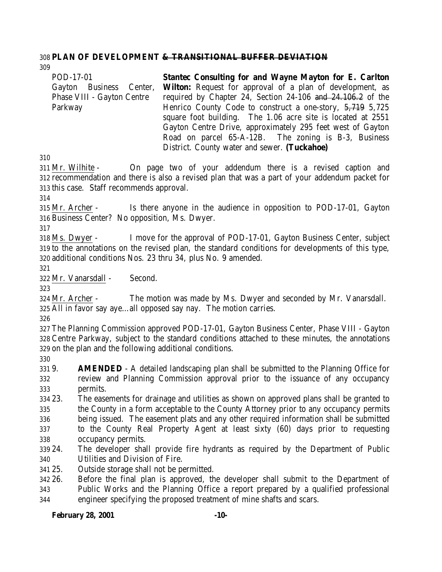#### **PLAN OF DEVELOPMENT & TRANSITIONAL BUFFER DEVIATION**

POD-17-01 Gayton Business Center, Phase VIII - Gayton Centre Parkway **Stantec Consulting for and Wayne Mayton for E. Carlton Wilton:** Request for approval of a plan of development, as required by Chapter 24, Section 24-106 and 24.106.2 of the Henrico County Code to construct a one-story, 5,719 5,725 square foot building. The 1.06 acre site is located at 2551 Gayton Centre Drive, approximately 295 feet west of Gayton Road on parcel 65-A-12B. The zoning is B-3, Business District. County water and sewer. **(Tuckahoe)**

 Mr. Wilhite - On page two of your addendum there is a revised caption and recommendation and there is also a revised plan that was a part of your addendum packet for this case. Staff recommends approval.

 Mr. Archer - Is there anyone in the audience in opposition to POD-17-01, Gayton Business Center? No opposition, Ms. Dwyer.

 Ms. Dwyer - I move for the approval of POD-17-01, Gayton Business Center, subject to the annotations on the revised plan, the standard conditions for developments of this type, additional conditions Nos. 23 thru 34, plus No. 9 amended.

Mr. Vanarsdall - Second.

 Mr. Archer - The motion was made by Ms. Dwyer and seconded by Mr. Vanarsdall. All in favor say aye…all opposed say nay. The motion carries.

 The Planning Commission approved POD-17-01, Gayton Business Center, Phase VIII - Gayton Centre Parkway, subject to the standard conditions attached to these minutes, the annotations on the plan and the following additional conditions.

 9. **AMENDED** - A detailed landscaping plan shall be submitted to the Planning Office for review and Planning Commission approval prior to the issuance of any occupancy permits.

 23. The easements for drainage and utilities as shown on approved plans shall be granted to the County in a form acceptable to the County Attorney prior to any occupancy permits being issued. The easement plats and any other required information shall be submitted to the County Real Property Agent at least sixty (60) days prior to requesting occupancy permits.

 24. The developer shall provide fire hydrants as required by the Department of Public Utilities and Division of Fire.

25. Outside storage shall not be permitted.

 26. Before the final plan is approved, the developer shall submit to the Department of Public Works and the Planning Office a report prepared by a qualified professional engineer specifying the proposed treatment of mine shafts and scars.

### **February 28, 2001 -10-**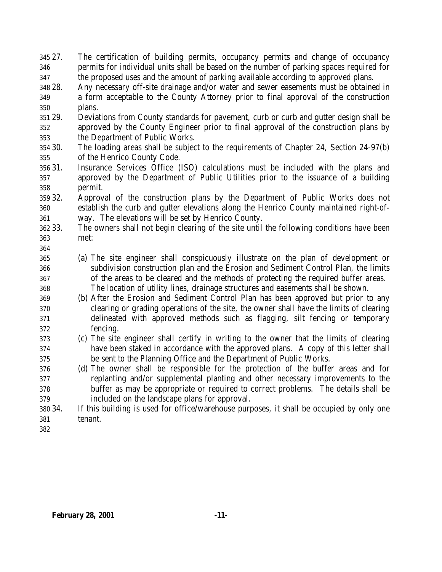27. The certification of building permits, occupancy permits and change of occupancy permits for individual units shall be based on the number of parking spaces required for the proposed uses and the amount of parking available according to approved plans.

- 28. Any necessary off-site drainage and/or water and sewer easements must be obtained in a form acceptable to the County Attorney prior to final approval of the construction plans.
- 29. Deviations from County standards for pavement, curb or curb and gutter design shall be approved by the County Engineer prior to final approval of the construction plans by the Department of Public Works.
- 30. The loading areas shall be subject to the requirements of Chapter 24, Section 24-97(b) of the Henrico County Code.
- 31. Insurance Services Office (ISO) calculations must be included with the plans and approved by the Department of Public Utilities prior to the issuance of a building permit.
- 32. Approval of the construction plans by the Department of Public Works does not establish the curb and gutter elevations along the Henrico County maintained right-of-way. The elevations will be set by Henrico County.
- 33. The owners shall not begin clearing of the site until the following conditions have been met:
- (a) The site engineer shall conspicuously illustrate on the plan of development or subdivision construction plan and the Erosion and Sediment Control Plan, the limits of the areas to be cleared and the methods of protecting the required buffer areas. The location of utility lines, drainage structures and easements shall be shown.
- (b) After the Erosion and Sediment Control Plan has been approved but prior to any clearing or grading operations of the site, the owner shall have the limits of clearing delineated with approved methods such as flagging, silt fencing or temporary fencing.
- (c) The site engineer shall certify in writing to the owner that the limits of clearing have been staked in accordance with the approved plans. A copy of this letter shall be sent to the Planning Office and the Department of Public Works.
- (d) The owner shall be responsible for the protection of the buffer areas and for replanting and/or supplemental planting and other necessary improvements to the buffer as may be appropriate or required to correct problems. The details shall be included on the landscape plans for approval.
- 34. If this building is used for office/warehouse purposes, it shall be occupied by only one tenant.
-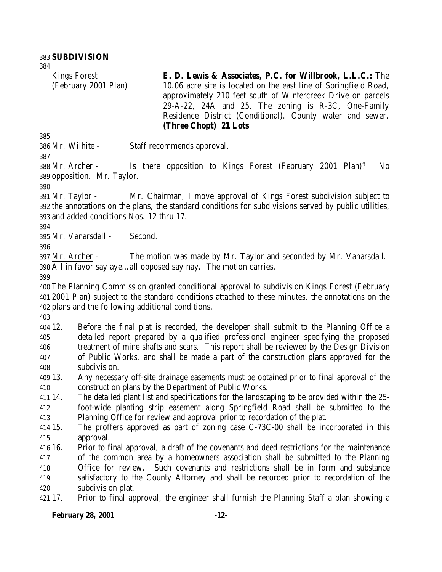Kings Forest (February 2001 Plan)

**E. D. Lewis & Associates, P.C. for Willbrook, L.L.C.:** The 10.06 acre site is located on the east line of Springfield Road, approximately 210 feet south of Wintercreek Drive on parcels 29-A-22, 24A and 25. The zoning is R-3C, One-Family Residence District (Conditional). County water and sewer. **(Three Chopt) 21 Lots**

Mr. Wilhite - Staff recommends approval.

 Mr. Archer - Is there opposition to Kings Forest (February 2001 Plan)? No opposition. Mr. Taylor.

 Mr. Taylor - Mr. Chairman, I move approval of Kings Forest subdivision subject to the annotations on the plans, the standard conditions for subdivisions served by public utilities, and added conditions Nos. 12 thru 17.

Mr. Vanarsdall - Second.

 Mr. Archer - The motion was made by Mr. Taylor and seconded by Mr. Vanarsdall. All in favor say aye…all opposed say nay. The motion carries.

 The Planning Commission granted conditional approval to subdivision Kings Forest (February 2001 Plan) subject to the standard conditions attached to these minutes, the annotations on the plans and the following additional conditions.

 12. Before the final plat is recorded, the developer shall submit to the Planning Office a detailed report prepared by a qualified professional engineer specifying the proposed treatment of mine shafts and scars. This report shall be reviewed by the Design Division of Public Works, and shall be made a part of the construction plans approved for the subdivision.

 13. Any necessary off-site drainage easements must be obtained prior to final approval of the construction plans by the Department of Public Works.

 14. The detailed plant list and specifications for the landscaping to be provided within the 25- foot-wide planting strip easement along Springfield Road shall be submitted to the Planning Office for review and approval prior to recordation of the plat.

 15. The proffers approved as part of zoning case C-73C-00 shall be incorporated in this approval.

16. Prior to final approval, a draft of the covenants and deed restrictions for the maintenance

of the common area by a homeowners association shall be submitted to the Planning

 Office for review. Such covenants and restrictions shall be in form and substance satisfactory to the County Attorney and shall be recorded prior to recordation of the subdivision plat.

17. Prior to final approval, the engineer shall furnish the Planning Staff a plan showing a

#### **February 28, 2001 -12-**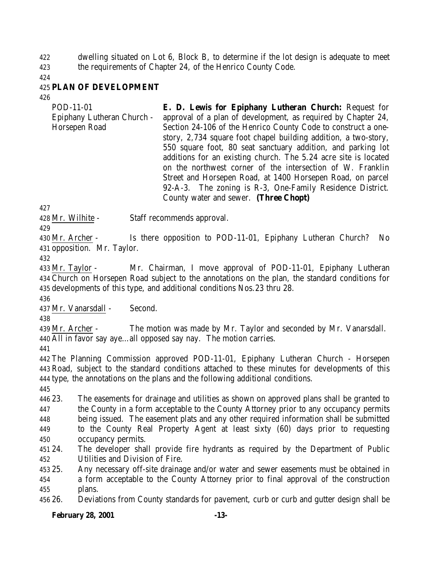dwelling situated on Lot 6, Block B, to determine if the lot design is adequate to meet the requirements of Chapter 24, of the Henrico County Code.

### **PLAN OF DEVELOPMENT**

POD-11-01 Epiphany Lutheran Church - Horsepen Road **E. D. Lewis for Epiphany Lutheran Church:** Request for approval of a plan of development, as required by Chapter 24, Section 24-106 of the Henrico County Code to construct a onestory, 2,734 square foot chapel building addition, a two-story, 550 square foot, 80 seat sanctuary addition, and parking lot additions for an existing church. The 5.24 acre site is located on the northwest corner of the intersection of W. Franklin Street and Horsepen Road, at 1400 Horsepen Road, on parcel 92-A-3. The zoning is R-3, One-Family Residence District. County water and sewer. **(Three Chopt)**

Mr. Wilhite - Staff recommends approval.

 Mr. Archer - Is there opposition to POD-11-01, Epiphany Lutheran Church? No opposition. Mr. Taylor.

 Mr. Taylor - Mr. Chairman, I move approval of POD-11-01, Epiphany Lutheran Church on Horsepen Road subject to the annotations on the plan, the standard conditions for developments of this type, and additional conditions Nos.23 thru 28.

Mr. Vanarsdall - Second.

 Mr. Archer - The motion was made by Mr. Taylor and seconded by Mr. Vanarsdall. All in favor say aye…all opposed say nay. The motion carries.

 The Planning Commission approved POD-11-01, Epiphany Lutheran Church - Horsepen Road, subject to the standard conditions attached to these minutes for developments of this type, the annotations on the plans and the following additional conditions.

 23. The easements for drainage and utilities as shown on approved plans shall be granted to the County in a form acceptable to the County Attorney prior to any occupancy permits being issued. The easement plats and any other required information shall be submitted to the County Real Property Agent at least sixty (60) days prior to requesting occupancy permits.

 24. The developer shall provide fire hydrants as required by the Department of Public Utilities and Division of Fire.

 25. Any necessary off-site drainage and/or water and sewer easements must be obtained in a form acceptable to the County Attorney prior to final approval of the construction plans.

26. Deviations from County standards for pavement, curb or curb and gutter design shall be

# **February 28, 2001 -13-**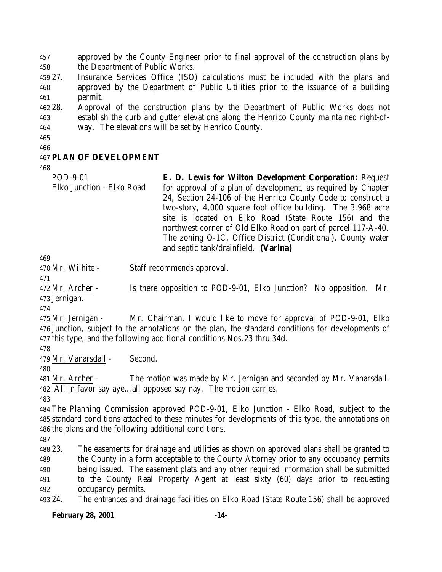approved by the County Engineer prior to final approval of the construction plans by the Department of Public Works.

 27. Insurance Services Office (ISO) calculations must be included with the plans and approved by the Department of Public Utilities prior to the issuance of a building permit.

 28. Approval of the construction plans by the Department of Public Works does not establish the curb and gutter elevations along the Henrico County maintained right-of-way. The elevations will be set by Henrico County.

### **PLAN OF DEVELOPMENT**

POD-9-01 Elko Junction - Elko Road **E. D. Lewis for Wilton Development Corporation:** Request for approval of a plan of development, as required by Chapter 24, Section 24-106 of the Henrico County Code to construct a two-story, 4,000 square foot office building. The 3.968 acre site is located on Elko Road (State Route 156) and the northwest corner of Old Elko Road on part of parcel 117-A-40. The zoning O-1C, Office District (Conditional). County water and septic tank/drainfield. **(Varina)**

Mr. Wilhite - Staff recommends approval.

 Mr. Archer - Is there opposition to POD-9-01, Elko Junction? No opposition. Mr. Jernigan.

 Mr. Jernigan - Mr. Chairman, I would like to move for approval of POD-9-01, Elko Junction, subject to the annotations on the plan, the standard conditions for developments of this type, and the following additional conditions Nos.23 thru 34d.

Mr. Vanarsdall - Second.

 Mr. Archer - The motion was made by Mr. Jernigan and seconded by Mr. Vanarsdall. All in favor say aye…all opposed say nay. The motion carries.

 The Planning Commission approved POD-9-01, Elko Junction - Elko Road, subject to the standard conditions attached to these minutes for developments of this type, the annotations on the plans and the following additional conditions.

 23. The easements for drainage and utilities as shown on approved plans shall be granted to the County in a form acceptable to the County Attorney prior to any occupancy permits being issued. The easement plats and any other required information shall be submitted to the County Real Property Agent at least sixty (60) days prior to requesting occupancy permits. 24. The entrances and drainage facilities on Elko Road (State Route 156) shall be approved

#### **February 28, 2001 -14-**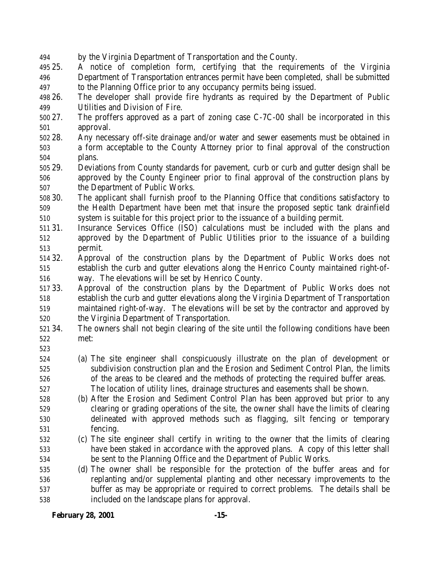- by the Virginia Department of Transportation and the County.
- 25. A notice of completion form, certifying that the requirements of the Virginia Department of Transportation entrances permit have been completed, shall be submitted to the Planning Office prior to any occupancy permits being issued.
- 26. The developer shall provide fire hydrants as required by the Department of Public Utilities and Division of Fire.
- 27. The proffers approved as a part of zoning case C-7C-00 shall be incorporated in this approval.
- 28. Any necessary off-site drainage and/or water and sewer easements must be obtained in a form acceptable to the County Attorney prior to final approval of the construction plans.
- 29. Deviations from County standards for pavement, curb or curb and gutter design shall be approved by the County Engineer prior to final approval of the construction plans by the Department of Public Works.
- 30. The applicant shall furnish proof to the Planning Office that conditions satisfactory to the Health Department have been met that insure the proposed septic tank drainfield system is suitable for this project prior to the issuance of a building permit.
- 31. Insurance Services Office (ISO) calculations must be included with the plans and approved by the Department of Public Utilities prior to the issuance of a building permit.
- 32. Approval of the construction plans by the Department of Public Works does not establish the curb and gutter elevations along the Henrico County maintained right-of-way. The elevations will be set by Henrico County.
- 33. Approval of the construction plans by the Department of Public Works does not establish the curb and gutter elevations along the Virginia Department of Transportation maintained right-of-way. The elevations will be set by the contractor and approved by the Virginia Department of Transportation.
- 34. The owners shall not begin clearing of the site until the following conditions have been met:
- 
- (a) The site engineer shall conspicuously illustrate on the plan of development or subdivision construction plan and the Erosion and Sediment Control Plan, the limits of the areas to be cleared and the methods of protecting the required buffer areas. The location of utility lines, drainage structures and easements shall be shown.
- (b) After the Erosion and Sediment Control Plan has been approved but prior to any clearing or grading operations of the site, the owner shall have the limits of clearing delineated with approved methods such as flagging, silt fencing or temporary fencing.
- (c) The site engineer shall certify in writing to the owner that the limits of clearing have been staked in accordance with the approved plans. A copy of this letter shall be sent to the Planning Office and the Department of Public Works.
- (d) The owner shall be responsible for the protection of the buffer areas and for replanting and/or supplemental planting and other necessary improvements to the buffer as may be appropriate or required to correct problems. The details shall be included on the landscape plans for approval.

**February 28, 2001 -15-**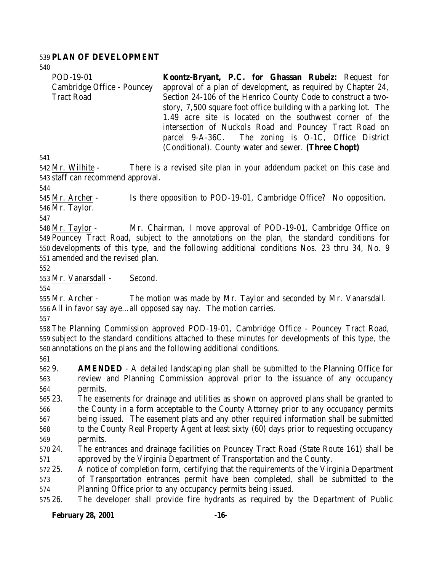#### **PLAN OF DEVELOPMENT**

| POD-19-01                  | Koontz-Bryant, P.C. for Ghassan Rubeiz: Request for                   |
|----------------------------|-----------------------------------------------------------------------|
| Cambridge Office - Pouncey | approval of a plan of development, as required by Chapter 24,         |
| <b>Tract Road</b>          | Section 24-106 of the Henrico County Code to construct a two-         |
|                            | story, 7,500 square foot office building with a parking lot. The      |
|                            | 1.49 acre site is located on the southwest corner of the              |
|                            | intersection of Nuckols Road and Pouncey Tract Road on                |
|                            | parcel 9-A-36C. The zoning is O-1C, Office District                   |
|                            | (Conditional). County water and sewer. (Three Chopt)                  |
| 41                         |                                                                       |
| 42 Mr. Wilhite -           | There is a revised site plan in your addendum packet on this case and |

 $5<sub>1</sub>$ 

 Mr. Wilhite - There is a revised site plan in your addendum packet on this case and staff can recommend approval.

 Mr. Archer - Is there opposition to POD-19-01, Cambridge Office? No opposition. Mr. Taylor.

 Mr. Taylor - Mr. Chairman, I move approval of POD-19-01, Cambridge Office on Pouncey Tract Road, subject to the annotations on the plan, the standard conditions for developments of this type, and the following additional conditions Nos. 23 thru 34, No. 9 amended and the revised plan.

Mr. Vanarsdall - Second.

 Mr. Archer - The motion was made by Mr. Taylor and seconded by Mr. Vanarsdall. All in favor say aye…all opposed say nay. The motion carries.

 The Planning Commission approved POD-19-01, Cambridge Office - Pouncey Tract Road, subject to the standard conditions attached to these minutes for developments of this type, the annotations on the plans and the following additional conditions.

 9. **AMENDED** - A detailed landscaping plan shall be submitted to the Planning Office for review and Planning Commission approval prior to the issuance of any occupancy permits.

 23. The easements for drainage and utilities as shown on approved plans shall be granted to the County in a form acceptable to the County Attorney prior to any occupancy permits being issued. The easement plats and any other required information shall be submitted to the County Real Property Agent at least sixty (60) days prior to requesting occupancy permits.

 24. The entrances and drainage facilities on Pouncey Tract Road (State Route 161) shall be approved by the Virginia Department of Transportation and the County.

 25. A notice of completion form, certifying that the requirements of the Virginia Department of Transportation entrances permit have been completed, shall be submitted to the Planning Office prior to any occupancy permits being issued.

26. The developer shall provide fire hydrants as required by the Department of Public

#### **February 28, 2001 -16-**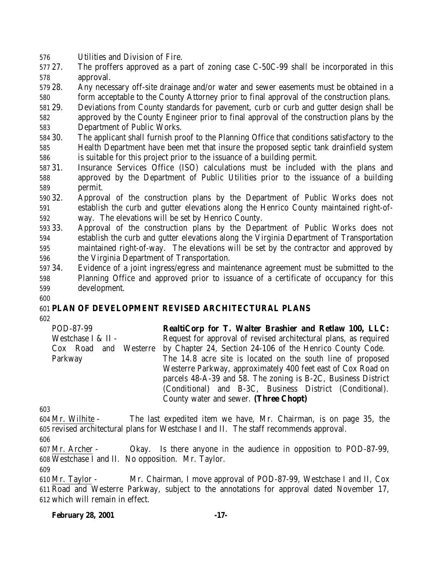- Utilities and Division of Fire.
- 27. The proffers approved as a part of zoning case C-50C-99 shall be incorporated in this approval.
- 28. Any necessary off-site drainage and/or water and sewer easements must be obtained in a form acceptable to the County Attorney prior to final approval of the construction plans.
- 29. Deviations from County standards for pavement, curb or curb and gutter design shall be approved by the County Engineer prior to final approval of the construction plans by the
- Department of Public Works.
- 30. The applicant shall furnish proof to the Planning Office that conditions satisfactory to the Health Department have been met that insure the proposed septic tank drainfield system is suitable for this project prior to the issuance of a building permit.
- 31. Insurance Services Office (ISO) calculations must be included with the plans and approved by the Department of Public Utilities prior to the issuance of a building permit.
- 32. Approval of the construction plans by the Department of Public Works does not establish the curb and gutter elevations along the Henrico County maintained right-of-way. The elevations will be set by Henrico County.
- 33. Approval of the construction plans by the Department of Public Works does not establish the curb and gutter elevations along the Virginia Department of Transportation maintained right-of-way. The elevations will be set by the contractor and approved by the Virginia Department of Transportation.
- 34. Evidence of a joint ingress/egress and maintenance agreement must be submitted to the Planning Office and approved prior to issuance of a certificate of occupancy for this development.
- 

# **PLAN OF DEVELOPMENT REVISED ARCHITECTURAL PLANS**

| POD-87-99             | RealtiCorp for T. Walter Brashier and Retlaw 100, LLC:           |
|-----------------------|------------------------------------------------------------------|
| Westchase I & II -    | Request for approval of revised architectural plans, as required |
| Cox Road and Westerre | by Chapter 24, Section 24-106 of the Henrico County Code.        |
| Parkway               | The 14.8 acre site is located on the south line of proposed      |
|                       | Westerre Parkway, approximately 400 feet east of Cox Road on     |
|                       | parcels 48-A-39 and 58. The zoning is B-2C, Business District    |
|                       | (Conditional) and B-3C, Business District (Conditional).         |
|                       | County water and sewer. (Three Chopt)                            |

 Mr. Wilhite - The last expedited item we have, Mr. Chairman, is on page 35, the revised architectural plans for Westchase I and II. The staff recommends approval.

 Mr. Archer - Okay. Is there anyone in the audience in opposition to POD-87-99, Westchase I and II. No opposition. Mr. Taylor.

 Mr. Taylor - Mr. Chairman, I move approval of POD-87-99, Westchase I and II, Cox Road and Westerre Parkway, subject to the annotations for approval dated November 17, which will remain in effect.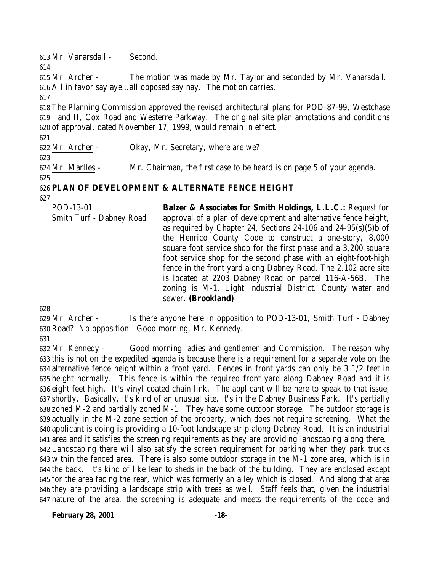Mr. Vanarsdall - Second.

 Mr. Archer - The motion was made by Mr. Taylor and seconded by Mr. Vanarsdall. All in favor say aye…all opposed say nay. The motion carries.

 The Planning Commission approved the revised architectural plans for POD-87-99, Westchase I and II, Cox Road and Westerre Parkway. The original site plan annotations and conditions of approval, dated November 17, 1999, would remain in effect.

Mr. Archer - Okay, Mr. Secretary, where are we?

Mr. Marlles - Mr. Chairman, the first case to be heard is on page 5 of your agenda.

# **PLAN OF DEVELOPMENT & ALTERNATE FENCE HEIGHT**

| POD-13-01                | <b>Balzer &amp; Associates for Smith Holdings, L.L.C.: Request for</b> |
|--------------------------|------------------------------------------------------------------------|
| Smith Turf - Dabney Road | approval of a plan of development and alternative fence height,        |
|                          | as required by Chapter 24, Sections 24-106 and $24-95(s)(5)b$ of       |
|                          | the Henrico County Code to construct a one-story, 8,000                |
|                          | square foot service shop for the first phase and a 3,200 square        |
|                          | foot service shop for the second phase with an eight-foot-high         |
|                          | fence in the front yard along Dabney Road. The 2.102 acre site         |
|                          | is located at 2203 Dabney Road on parcel 116-A-56B. The                |
|                          | zoning is M-1, Light Industrial District. County water and             |
|                          | sewer. (Brookland)                                                     |

 Mr. Archer - Is there anyone here in opposition to POD-13-01, Smith Turf - Dabney Road? No opposition. Good morning, Mr. Kennedy.

 Mr. Kennedy - Good morning ladies and gentlemen and Commission. The reason why this is not on the expedited agenda is because there is a requirement for a separate vote on the alternative fence height within a front yard. Fences in front yards can only be 3 1/2 feet in height normally. This fence is within the required front yard along Dabney Road and it is eight feet high. It's vinyl coated chain link. The applicant will be here to speak to that issue, shortly. Basically, it's kind of an unusual site, it's in the Dabney Business Park. It's partially zoned M-2 and partially zoned M-1. They have some outdoor storage. The outdoor storage is actually in the M-2 zone section of the property, which does not require screening. What the applicant is doing is providing a 10-foot landscape strip along Dabney Road. It is an industrial area and it satisfies the screening requirements as they are providing landscaping along there. Landscaping there will also satisfy the screen requirement for parking when they park trucks within the fenced area. There is also some outdoor storage in the M-1 zone area, which is in the back. It's kind of like lean to sheds in the back of the building. They are enclosed except for the area facing the rear, which was formerly an alley which is closed. And along that area they are providing a landscape strip with trees as well. Staff feels that, given the industrial nature of the area, the screening is adequate and meets the requirements of the code and

**February 28, 2001 -18-**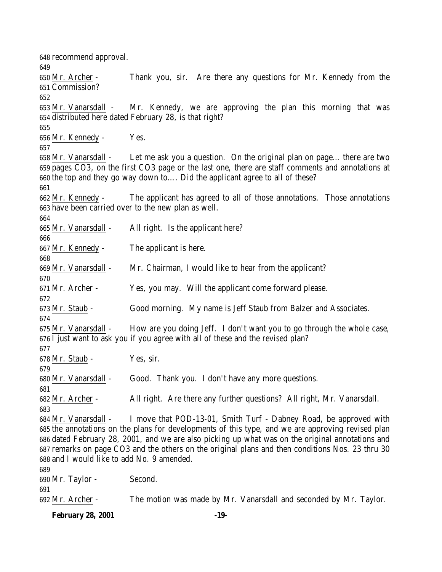recommend approval. Mr. Archer - Thank you, sir. Are there any questions for Mr. Kennedy from the Commission? Mr. Vanarsdall - Mr. Kennedy, we are approving the plan this morning that was distributed here dated February 28, is that right? Mr. Kennedy - Yes. Mr. Vanarsdall - Let me ask you a question. On the original plan on page… there are two pages CO3, on the first CO3 page or the last one, there are staff comments and annotations at the top and they go way down to…. Did the applicant agree to all of these? Mr. Kennedy - The applicant has agreed to all of those annotations. Those annotations have been carried over to the new plan as well. Mr. Vanarsdall - All right. Is the applicant here? Mr. Kennedy - The applicant is here. Mr. Vanarsdall - Mr. Chairman, I would like to hear from the applicant? Mr. Archer - Yes, you may. Will the applicant come forward please. Mr. Staub - Good morning. My name is Jeff Staub from Balzer and Associates. Mr. Vanarsdall - How are you doing Jeff. I don't want you to go through the whole case, I just want to ask you if you agree with all of these and the revised plan? Mr. Staub - Yes, sir. 680 Mr. Vanarsdall - Good. Thank you. I don't have any more questions. Mr. Archer - All right. Are there any further questions? All right, Mr. Vanarsdall. Mr. Vanarsdall - I move that POD-13-01, Smith Turf - Dabney Road, be approved with the annotations on the plans for developments of this type, and we are approving revised plan dated February 28, 2001, and we are also picking up what was on the original annotations and remarks on page CO3 and the others on the original plans and then conditions Nos. 23 thru 30 and I would like to add No. 9 amended. Mr. Taylor - Second. Mr. Archer - The motion was made by Mr. Vanarsdall and seconded by Mr. Taylor.

**February 28, 2001 -19-**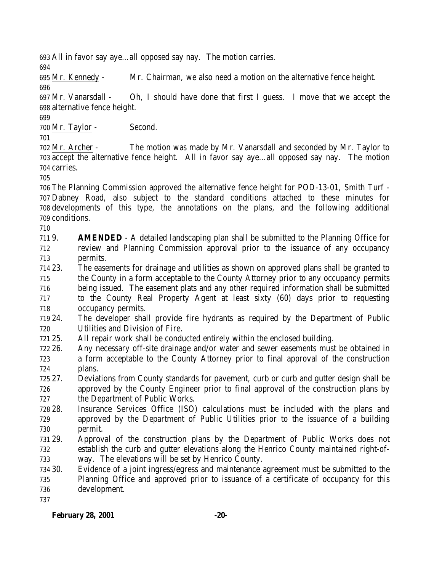All in favor say aye…all opposed say nay. The motion carries.

Mr. Kennedy - Mr. Chairman, we also need a motion on the alternative fence height.

 Mr. Vanarsdall - Oh, I should have done that first I guess. I move that we accept the alternative fence height.

Mr. Taylor - Second.

 Mr. Archer - The motion was made by Mr. Vanarsdall and seconded by Mr. Taylor to accept the alternative fence height. All in favor say aye…all opposed say nay. The motion carries.

 The Planning Commission approved the alternative fence height for POD-13-01, Smith Turf - Dabney Road, also subject to the standard conditions attached to these minutes for developments of this type, the annotations on the plans, and the following additional conditions.

 9. **AMENDED** - A detailed landscaping plan shall be submitted to the Planning Office for review and Planning Commission approval prior to the issuance of any occupancy permits.

 23. The easements for drainage and utilities as shown on approved plans shall be granted to the County in a form acceptable to the County Attorney prior to any occupancy permits being issued. The easement plats and any other required information shall be submitted to the County Real Property Agent at least sixty (60) days prior to requesting

occupancy permits.

 24. The developer shall provide fire hydrants as required by the Department of Public Utilities and Division of Fire.

- 25. All repair work shall be conducted entirely within the enclosed building.
- 26. Any necessary off-site drainage and/or water and sewer easements must be obtained in a form acceptable to the County Attorney prior to final approval of the construction plans.
- 27. Deviations from County standards for pavement, curb or curb and gutter design shall be approved by the County Engineer prior to final approval of the construction plans by the Department of Public Works.
- 28. Insurance Services Office (ISO) calculations must be included with the plans and approved by the Department of Public Utilities prior to the issuance of a building permit.
- 29. Approval of the construction plans by the Department of Public Works does not establish the curb and gutter elevations along the Henrico County maintained right-of-way. The elevations will be set by Henrico County.
- 30. Evidence of a joint ingress/egress and maintenance agreement must be submitted to the Planning Office and approved prior to issuance of a certificate of occupancy for this development.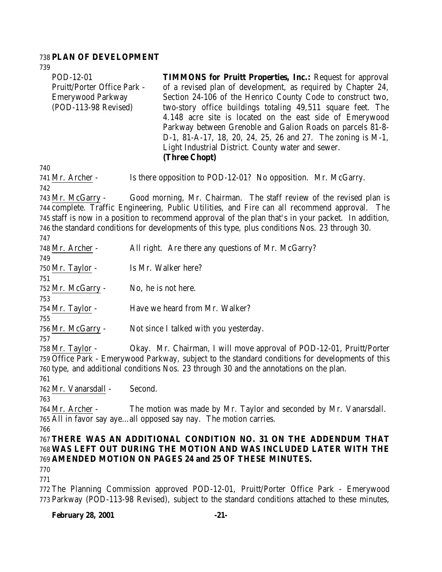# **PLAN OF DEVELOPMENT**

| 739<br>POD-12-01<br>Pruitt/Porter Office Park -<br><b>Emerywood Parkway</b><br>(POD-113-98 Revised)                                                                                                                                                                                       |                     | <b>TIMMONS for Pruitt Properties, Inc.:</b> Request for approval<br>of a revised plan of development, as required by Chapter 24,<br>Section 24-106 of the Henrico County Code to construct two,<br>two-story office buildings totaling 49,511 square feet. The<br>4.148 acre site is located on the east side of Emerywood<br>Parkway between Grenoble and Galion Roads on parcels 81-8- |  |
|-------------------------------------------------------------------------------------------------------------------------------------------------------------------------------------------------------------------------------------------------------------------------------------------|---------------------|------------------------------------------------------------------------------------------------------------------------------------------------------------------------------------------------------------------------------------------------------------------------------------------------------------------------------------------------------------------------------------------|--|
|                                                                                                                                                                                                                                                                                           |                     | D-1, 81-A-17, 18, 20, 24, 25, 26 and 27. The zoning is M-1,<br>Light Industrial District. County water and sewer.<br>(Three Chopt)                                                                                                                                                                                                                                                       |  |
| 740<br>741 Mr. Archer -<br>742                                                                                                                                                                                                                                                            |                     | Is there opposition to POD-12-01? No opposition. Mr. McGarry.                                                                                                                                                                                                                                                                                                                            |  |
| 743 Mr. McGarry -                                                                                                                                                                                                                                                                         |                     | Good morning, Mr. Chairman. The staff review of the revised plan is<br>744 complete. Traffic Engineering, Public Utilities, and Fire can all recommend approval. The<br>745 staff is now in a position to recommend approval of the plan that's in your packet. In addition,<br>746 the standard conditions for developments of this type, plus conditions Nos. 23 through 30.           |  |
| 747<br>748 Mr. Archer -                                                                                                                                                                                                                                                                   |                     | All right. Are there any questions of Mr. McGarry?                                                                                                                                                                                                                                                                                                                                       |  |
| 749<br>750 Mr. Taylor -<br>751                                                                                                                                                                                                                                                            |                     | Is Mr. Walker here?                                                                                                                                                                                                                                                                                                                                                                      |  |
| 752 Mr. McGarry -<br>753                                                                                                                                                                                                                                                                  | No, he is not here. |                                                                                                                                                                                                                                                                                                                                                                                          |  |
| 754 Mr. Taylor -<br>755                                                                                                                                                                                                                                                                   |                     | Have we heard from Mr. Walker?                                                                                                                                                                                                                                                                                                                                                           |  |
| 756 Mr. McGarry -<br>757                                                                                                                                                                                                                                                                  |                     | Not since I talked with you yesterday.                                                                                                                                                                                                                                                                                                                                                   |  |
| Okay. Mr. Chairman, I will move approval of POD-12-01, Pruitt/Porter<br>$758$ Mr. Taylor -<br>759 Office Park - Emerywood Parkway, subject to the standard conditions for developments of this<br>760 type, and additional conditions Nos. 23 through 30 and the annotations on the plan. |                     |                                                                                                                                                                                                                                                                                                                                                                                          |  |
| 761<br>762 Mr. Vanarsdall - Second.                                                                                                                                                                                                                                                       |                     |                                                                                                                                                                                                                                                                                                                                                                                          |  |
| 763<br>764 Mr. Archer -                                                                                                                                                                                                                                                                   |                     | The motion was made by Mr. Taylor and seconded by Mr. Vanarsdall.<br>765 All in favor say ayeall opposed say nay. The motion carries.                                                                                                                                                                                                                                                    |  |
| 766                                                                                                                                                                                                                                                                                       |                     | 767 THERE WAS AN ADDITIONAL CONDITION NO. 31 ON THE ADDENDUM THAT<br>768 WAS LEFT OUT DURING THE MOTION AND WAS INCLUDED LATER WITH THE<br>769 AMENDED MOTION ON PAGES 24 and 25 OF THESE MINUTES.                                                                                                                                                                                       |  |
| 770<br>771                                                                                                                                                                                                                                                                                |                     |                                                                                                                                                                                                                                                                                                                                                                                          |  |
|                                                                                                                                                                                                                                                                                           |                     | 772 The Planning Commission approved POD-12-01, Pruitt/Porter Office Park - Emerywood<br>773 Parkway (POD-113-98 Revised), subject to the standard conditions attached to these minutes,                                                                                                                                                                                                 |  |

# **February 28, 2001 -21-**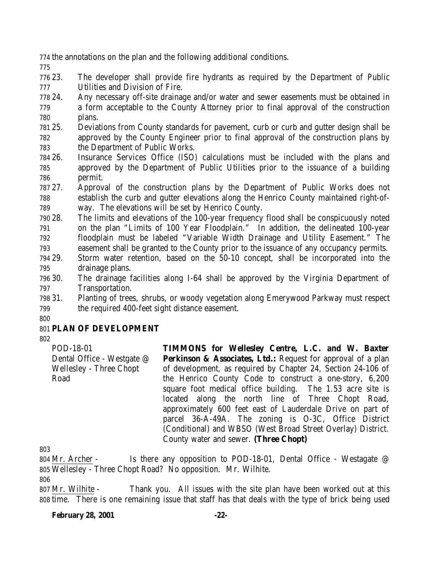the annotations on the plan and the following additional conditions.

 23. The developer shall provide fire hydrants as required by the Department of Public Utilities and Division of Fire.

 24. Any necessary off-site drainage and/or water and sewer easements must be obtained in a form acceptable to the County Attorney prior to final approval of the construction plans.

 25. Deviations from County standards for pavement, curb or curb and gutter design shall be approved by the County Engineer prior to final approval of the construction plans by the Department of Public Works.

 26. Insurance Services Office (ISO) calculations must be included with the plans and approved by the Department of Public Utilities prior to the issuance of a building permit.

 27. Approval of the construction plans by the Department of Public Works does not establish the curb and gutter elevations along the Henrico County maintained right-of-way. The elevations will be set by Henrico County.

 28. The limits and elevations of the 100-year frequency flood shall be conspicuously noted on the plan "Limits of 100 Year Floodplain." In addition, the delineated 100-year floodplain must be labeled "Variable Width Drainage and Utility Easement." The easement shall be granted to the County prior to the issuance of any occupancy permits.

 29. Storm water retention, based on the 50-10 concept, shall be incorporated into the drainage plans.

 30. The drainage facilities along I-64 shall be approved by the Virginia Department of Transportation.

 31. Planting of trees, shrubs, or woody vegetation along Emerywood Parkway must respect the required 400-feet sight distance easement.

# **PLAN OF DEVELOPMENT**

POD-18-01 Dental Office - Westgate @ Wellesley - Three Chopt Road

**TIMMONS for Wellesley Centre, L.C. and W. Baxter Perkinson & Associates, Ltd.:** Request for approval of a plan of development, as required by Chapter 24, Section 24-106 of the Henrico County Code to construct a one-story, 6,200 square foot medical office building. The 1.53 acre site is located along the north line of Three Chopt Road, approximately 600 feet east of Lauderdale Drive on part of parcel 36-A-49A. The zoning is O-3C, Office District (Conditional) and WBSO (West Broad Street Overlay) District. County water and sewer. **(Three Chopt)**

 Mr. Archer - Is there any opposition to POD-18-01, Dental Office - Westagate @ Wellesley - Three Chopt Road? No opposition. Mr. Wilhite.

 Mr. Wilhite - Thank you. All issues with the site plan have been worked out at this time. There is one remaining issue that staff has that deals with the type of brick being used

#### **February 28, 2001 -22-**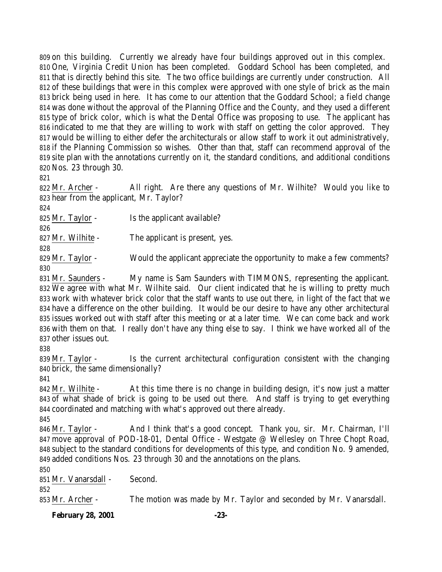on this building. Currently we already have four buildings approved out in this complex. One, Virginia Credit Union has been completed. Goddard School has been completed, and that is directly behind this site. The two office buildings are currently under construction. All of these buildings that were in this complex were approved with one style of brick as the main brick being used in here. It has come to our attention that the Goddard School; a field change was done without the approval of the Planning Office and the County, and they used a different type of brick color, which is what the Dental Office was proposing to use. The applicant has indicated to me that they are willing to work with staff on getting the color approved. They would be willing to either defer the architecturals or allow staff to work it out administratively, if the Planning Commission so wishes. Other than that, staff can recommend approval of the site plan with the annotations currently on it, the standard conditions, and additional conditions Nos. 23 through 30.

 Mr. Archer - All right. Are there any questions of Mr. Wilhite? Would you like to hear from the applicant, Mr. Taylor?

825 Mr. Taylor - Is the applicant available?

- Mr. Wilhite The applicant is present, yes.
- 

 Mr. Taylor - Would the applicant appreciate the opportunity to make a few comments? 

 Mr. Saunders - My name is Sam Saunders with TIMMONS, representing the applicant. We agree with what Mr. Wilhite said. Our client indicated that he is willing to pretty much work with whatever brick color that the staff wants to use out there, in light of the fact that we have a difference on the other building. It would be our desire to have any other architectural issues worked out with staff after this meeting or at a later time. We can come back and work with them on that. I really don't have any thing else to say. I think we have worked all of the other issues out.

 Mr. Taylor - Is the current architectural configuration consistent with the changing brick, the same dimensionally?

 Mr. Wilhite - At this time there is no change in building design, it's now just a matter of what shade of brick is going to be used out there. And staff is trying to get everything coordinated and matching with what's approved out there already.

 Mr. Taylor - And I think that's a good concept. Thank you, sir. Mr. Chairman, I'll move approval of POD-18-01, Dental Office - Westgate @ Wellesley on Three Chopt Road, subject to the standard conditions for developments of this type, and condition No. 9 amended, added conditions Nos. 23 through 30 and the annotations on the plans.

Mr. Vanarsdall - Second.

Mr. Archer - The motion was made by Mr. Taylor and seconded by Mr. Vanarsdall.

**February 28, 2001 -23-**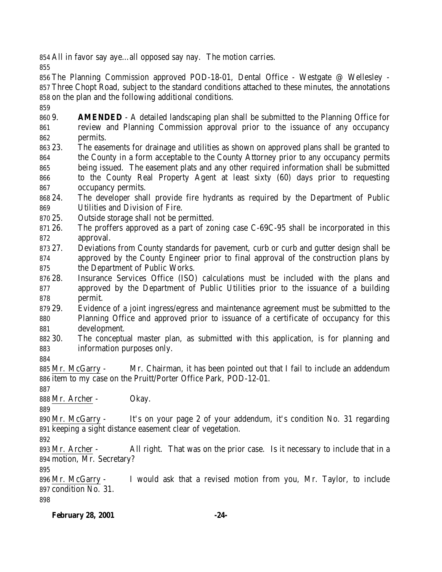All in favor say aye…all opposed say nay. The motion carries.

 The Planning Commission approved POD-18-01, Dental Office - Westgate @ Wellesley - Three Chopt Road, subject to the standard conditions attached to these minutes, the annotations on the plan and the following additional conditions.

 9. **AMENDED** - A detailed landscaping plan shall be submitted to the Planning Office for review and Planning Commission approval prior to the issuance of any occupancy permits.

 23. The easements for drainage and utilities as shown on approved plans shall be granted to the County in a form acceptable to the County Attorney prior to any occupancy permits being issued. The easement plats and any other required information shall be submitted to the County Real Property Agent at least sixty (60) days prior to requesting occupancy permits.

 24. The developer shall provide fire hydrants as required by the Department of Public Utilities and Division of Fire.

- 25. Outside storage shall not be permitted.
- 26. The proffers approved as a part of zoning case C-69C-95 shall be incorporated in this approval.
- 27. Deviations from County standards for pavement, curb or curb and gutter design shall be approved by the County Engineer prior to final approval of the construction plans by the Department of Public Works.
- 28. Insurance Services Office (ISO) calculations must be included with the plans and approved by the Department of Public Utilities prior to the issuance of a building permit.
- 29. Evidence of a joint ingress/egress and maintenance agreement must be submitted to the Planning Office and approved prior to issuance of a certificate of occupancy for this development.
- 30. The conceptual master plan, as submitted with this application, is for planning and information purposes only.
- 

 Mr. McGarry - Mr. Chairman, it has been pointed out that I fail to include an addendum item to my case on the Pruitt/Porter Office Park, POD-12-01.

Mr. Archer - Okay.

 Mr. McGarry - It's on your page 2 of your addendum, it's condition No. 31 regarding keeping a sight distance easement clear of vegetation.

 Mr. Archer - All right. That was on the prior case. Is it necessary to include that in a motion, Mr. Secretary?

 Mr. McGarry - I would ask that a revised motion from you, Mr. Taylor, to include condition No. 31.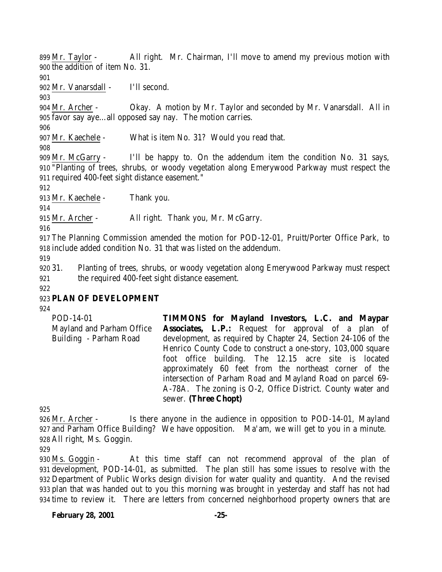Mr. Taylor - All right. Mr. Chairman, I'll move to amend my previous motion with the addition of item No. 31.

Mr. Vanarsdall - I'll second.

 Mr. Archer - Okay. A motion by Mr. Taylor and seconded by Mr. Vanarsdall. All in favor say aye…all opposed say nay. The motion carries.

Mr. Kaechele - What is item No. 31? Would you read that.

 Mr. McGarry - I'll be happy to. On the addendum item the condition No. 31 says, "Planting of trees, shrubs, or woody vegetation along Emerywood Parkway must respect the required 400-feet sight distance easement."

Mr. Kaechele - Thank you.

Mr. Archer - All right. Thank you, Mr. McGarry.

 The Planning Commission amended the motion for POD-12-01, Pruitt/Porter Office Park, to include added condition No. 31 that was listed on the addendum.

 31. Planting of trees, shrubs, or woody vegetation along Emerywood Parkway must respect the required 400-feet sight distance easement.

# **PLAN OF DEVELOPMENT**

| POD-14-01                 | <b>TIMMONS</b> for Mayland Investors, L.C. and Maypar         |
|---------------------------|---------------------------------------------------------------|
| Mayland and Parham Office | <b>Associates, L.P.:</b> Request for approval of a plan of    |
| Building - Parham Road    | development, as required by Chapter 24, Section 24-106 of the |
|                           | Henrico County Code to construct a one-story, 103,000 square  |
|                           | foot office building. The 12.15 acre site is located          |
|                           | approximately 60 feet from the northeast corner of the        |
|                           | intersection of Parham Road and Mayland Road on parcel 69-    |
|                           | A-78A. The zoning is O-2, Office District. County water and   |
|                           | sewer. (Three Chopt)                                          |
|                           |                                                               |

 Mr. Archer - Is there anyone in the audience in opposition to POD-14-01, Mayland and Parham Office Building? We have opposition. Ma'am, we will get to you in a minute. All right, Ms. Goggin.

 Ms. Goggin - At this time staff can not recommend approval of the plan of development, POD-14-01, as submitted. The plan still has some issues to resolve with the Department of Public Works design division for water quality and quantity. And the revised plan that was handed out to you this morning was brought in yesterday and staff has not had time to review it. There are letters from concerned neighborhood property owners that are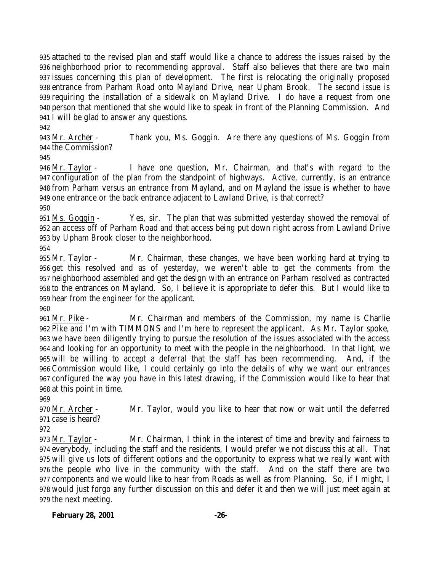attached to the revised plan and staff would like a chance to address the issues raised by the neighborhood prior to recommending approval. Staff also believes that there are two main issues concerning this plan of development. The first is relocating the originally proposed entrance from Parham Road onto Mayland Drive, near Upham Brook. The second issue is requiring the installation of a sidewalk on Mayland Drive. I do have a request from one person that mentioned that she would like to speak in front of the Planning Commission. And I will be glad to answer any questions.

 Mr. Archer - Thank you, Ms. Goggin. Are there any questions of Ms. Goggin from the Commission?

 Mr. Taylor - I have one question, Mr. Chairman, and that's with regard to the configuration of the plan from the standpoint of highways. Active, currently, is an entrance from Parham versus an entrance from Mayland, and on Mayland the issue is whether to have one entrance or the back entrance adjacent to Lawland Drive, is that correct?

 Ms. Goggin - Yes, sir. The plan that was submitted yesterday showed the removal of an access off of Parham Road and that access being put down right across from Lawland Drive by Upham Brook closer to the neighborhood.

 Mr. Taylor - Mr. Chairman, these changes, we have been working hard at trying to get this resolved and as of yesterday, we weren't able to get the comments from the neighborhood assembled and get the design with an entrance on Parham resolved as contracted to the entrances on Mayland. So, I believe it is appropriate to defer this. But I would like to hear from the engineer for the applicant.

 Mr. Pike - Mr. Chairman and members of the Commission, my name is Charlie Pike and I'm with TIMMONS and I'm here to represent the applicant. As Mr. Taylor spoke, we have been diligently trying to pursue the resolution of the issues associated with the access and looking for an opportunity to meet with the people in the neighborhood. In that light, we will be willing to accept a deferral that the staff has been recommending. And, if the Commission would like, I could certainly go into the details of why we want our entrances configured the way you have in this latest drawing, if the Commission would like to hear that at this point in time.

 Mr. Archer - Mr. Taylor, would you like to hear that now or wait until the deferred case is heard?

 Mr. Taylor - Mr. Chairman, I think in the interest of time and brevity and fairness to everybody, including the staff and the residents, I would prefer we not discuss this at all. That will give us lots of different options and the opportunity to express what we really want with the people who live in the community with the staff. And on the staff there are two components and we would like to hear from Roads as well as from Planning. So, if I might, I would just forgo any further discussion on this and defer it and then we will just meet again at the next meeting.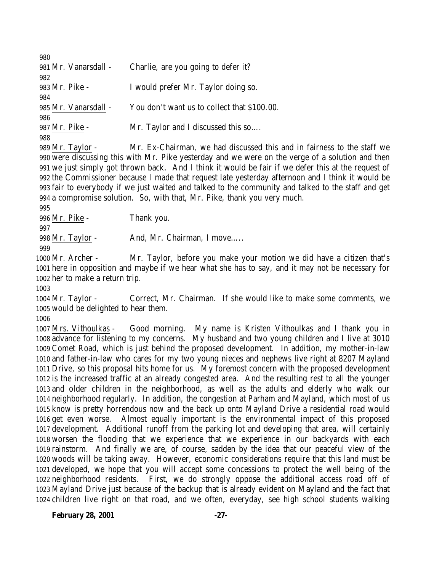| 980                  |                                             |
|----------------------|---------------------------------------------|
| 981 Mr. Vanarsdall - | Charlie, are you going to defer it?         |
| 982                  |                                             |
| 983 Mr. Pike -       | I would prefer Mr. Taylor doing so.         |
| 984                  |                                             |
| 985 Mr. Vanarsdall - | You don't want us to collect that \$100.00. |
| 986                  |                                             |
| 987 Mr. Pike -       | Mr. Taylor and I discussed this so          |
| 988                  |                                             |
|                      |                                             |

 Mr. Taylor - Mr. Ex-Chairman, we had discussed this and in fairness to the staff we were discussing this with Mr. Pike yesterday and we were on the verge of a solution and then we just simply got thrown back. And I think it would be fair if we defer this at the request of the Commissioner because I made that request late yesterday afternoon and I think it would be fair to everybody if we just waited and talked to the community and talked to the staff and get a compromise solution. So, with that, Mr. Pike, thank you very much.

 Mr. Pike - Thank you. 998 Mr. Taylor - And, Mr. Chairman, I move..... 

 Mr. Archer - Mr. Taylor, before you make your motion we did have a citizen that's here in opposition and maybe if we hear what she has to say, and it may not be necessary for her to make a return trip.

 Mr. Taylor - Correct, Mr. Chairman. If she would like to make some comments, we would be delighted to hear them.

 Mrs. Vithoulkas - Good morning. My name is Kristen Vithoulkas and I thank you in advance for listening to my concerns. My husband and two young children and I live at 3010 Comet Road, which is just behind the proposed development. In addition, my mother-in-law and father-in-law who cares for my two young nieces and nephews live right at 8207 Mayland Drive, so this proposal hits home for us. My foremost concern with the proposed development is the increased traffic at an already congested area. And the resulting rest to all the younger and older children in the neighborhood, as well as the adults and elderly who walk our neighborhood regularly. In addition, the congestion at Parham and Mayland, which most of us know is pretty horrendous now and the back up onto Mayland Drive a residential road would get even worse. Almost equally important is the environmental impact of this proposed development. Additional runoff from the parking lot and developing that area, will certainly worsen the flooding that we experience that we experience in our backyards with each rainstorm. And finally we are, of course, sadden by the idea that our peaceful view of the woods will be taking away. However, economic considerations require that this land must be developed, we hope that you will accept some concessions to protect the well being of the neighborhood residents. First, we do strongly oppose the additional access road off of Mayland Drive just because of the backup that is already evident on Mayland and the fact that children live right on that road, and we often, everyday, see high school students walking

**February 28, 2001 -27-**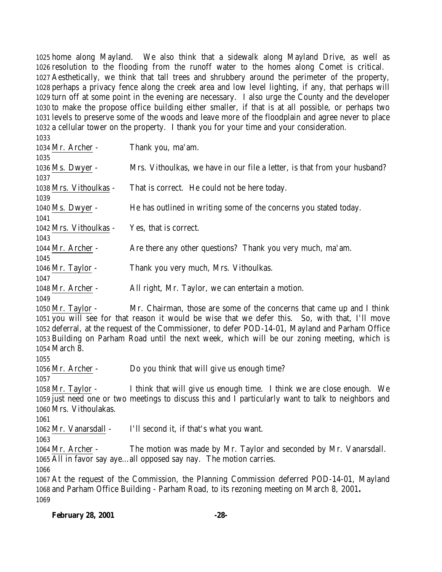home along Mayland. We also think that a sidewalk along Mayland Drive, as well as resolution to the flooding from the runoff water to the homes along Comet is critical. Aesthetically, we think that tall trees and shrubbery around the perimeter of the property, perhaps a privacy fence along the creek area and low level lighting, if any, that perhaps will turn off at some point in the evening are necessary. I also urge the County and the developer to make the propose office building either smaller, if that is at all possible, or perhaps two levels to preserve some of the woods and leave more of the floodplain and agree never to place a cellular tower on the property. I thank you for your time and your consideration. 

| 1099.                                                                                      |                                                                                                     |  |
|--------------------------------------------------------------------------------------------|-----------------------------------------------------------------------------------------------------|--|
| 1034 Mr. Archer -                                                                          | Thank you, ma'am.                                                                                   |  |
| 1035                                                                                       |                                                                                                     |  |
| 1036 Ms. Dwyer -                                                                           | Mrs. Vithoulkas, we have in our file a letter, is that from your husband?                           |  |
| 1037                                                                                       |                                                                                                     |  |
| 1038 Mrs. Vithoulkas -                                                                     | That is correct. He could not be here today.                                                        |  |
| 1039                                                                                       |                                                                                                     |  |
| 1040 Ms. Dwyer -                                                                           | He has outlined in writing some of the concerns you stated today.                                   |  |
| 1041                                                                                       |                                                                                                     |  |
| 1042 Mrs. Vithoulkas -                                                                     | Yes, that is correct.                                                                               |  |
| 1043                                                                                       |                                                                                                     |  |
| 1044 Mr. Archer -                                                                          | Are there any other questions? Thank you very much, ma'am.                                          |  |
| 1045                                                                                       |                                                                                                     |  |
| 1046 Mr. Taylor -                                                                          | Thank you very much, Mrs. Vithoulkas.                                                               |  |
| 1047                                                                                       |                                                                                                     |  |
| 1048 Mr. Archer -                                                                          | All right, Mr. Taylor, we can entertain a motion.                                                   |  |
| 1049                                                                                       |                                                                                                     |  |
| 1050 Mr. Taylor -                                                                          | Mr. Chairman, those are some of the concerns that came up and I think                               |  |
|                                                                                            | 1051 you will see for that reason it would be wise that we defer this. So, with that, I'll move     |  |
|                                                                                            | 1052 deferral, at the request of the Commissioner, to defer POD-14-01, Mayland and Parham Office    |  |
|                                                                                            | 1053 Building on Parham Road until the next week, which will be our zoning meeting, which is        |  |
| 1054 March 8.                                                                              |                                                                                                     |  |
| 1055                                                                                       |                                                                                                     |  |
| 1056 Mr. Archer -                                                                          | Do you think that will give us enough time?                                                         |  |
| 1057                                                                                       |                                                                                                     |  |
| 1058 Mr. Taylor -                                                                          | I think that will give us enough time. I think we are close enough. We                              |  |
|                                                                                            | 1059 just need one or two meetings to discuss this and I particularly want to talk to neighbors and |  |
| 1060 Mrs. Vithoulakas.                                                                     |                                                                                                     |  |
| 1061                                                                                       |                                                                                                     |  |
| 1062 Mr. Vanarsdall -                                                                      | I'll second it, if that's what you want.                                                            |  |
| 1063                                                                                       |                                                                                                     |  |
| 1064 Mr. Archer -                                                                          | The motion was made by Mr. Taylor and seconded by Mr. Vanarsdall.                                   |  |
|                                                                                            | 1065 All in favor say ayeall opposed say nay. The motion carries.                                   |  |
| 1066                                                                                       |                                                                                                     |  |
| 1067 At the request of the Commission, the Planning Commission deferred POD-14-01, Mayland |                                                                                                     |  |
| 1068 and Parham Office Building - Parham Road, to its rezoning meeting on March 8, 2001.   |                                                                                                     |  |
| 1069                                                                                       |                                                                                                     |  |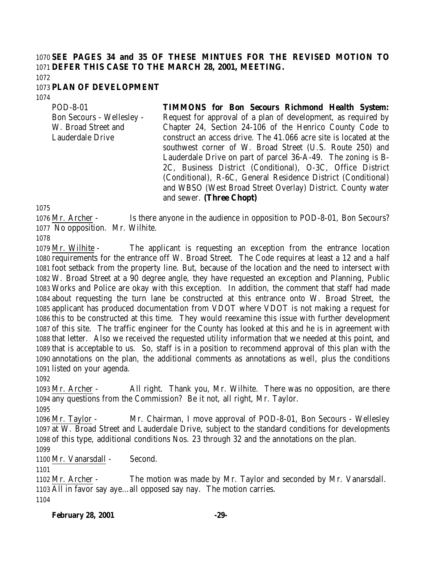# **SEE PAGES 34 and 35 OF THESE MINTUES FOR THE REVISED MOTION TO DEFER THIS CASE TO THE MARCH 28, 2001, MEETING.**

#### **PLAN OF DEVELOPMENT**

POD-8-01

Lauderdale Drive

Bon Secours - Wellesley - W. Broad Street and **TIMMONS for Bon Secours Richmond Health System:** Request for approval of a plan of development, as required by Chapter 24, Section 24-106 of the Henrico County Code to construct an access drive. The 41.066 acre site is located at the southwest corner of W. Broad Street (U.S. Route 250) and Lauderdale Drive on part of parcel 36-A-49. The zoning is B-2C, Business District (Conditional), O-3C, Office District (Conditional), R-6C, General Residence District (Conditional) and WBSO (West Broad Street Overlay) District. County water and sewer. **(Three Chopt)**

 Mr. Archer - Is there anyone in the audience in opposition to POD-8-01, Bon Secours? No opposition. Mr. Wilhite.

 Mr. Wilhite - The applicant is requesting an exception from the entrance location requirements for the entrance off W. Broad Street. The Code requires at least a 12 and a half foot setback from the property line. But, because of the location and the need to intersect with W. Broad Street at a 90 degree angle, they have requested an exception and Planning, Public Works and Police are okay with this exception. In addition, the comment that staff had made about requesting the turn lane be constructed at this entrance onto W. Broad Street, the applicant has produced documentation from VDOT where VDOT is not making a request for this to be constructed at this time. They would reexamine this issue with further development of this site. The traffic engineer for the County has looked at this and he is in agreement with that letter. Also we received the requested utility information that we needed at this point, and that is acceptable to us. So, staff is in a position to recommend approval of this plan with the annotations on the plan, the additional comments as annotations as well, plus the conditions listed on your agenda.

 Mr. Archer - All right. Thank you, Mr. Wilhite. There was no opposition, are there any questions from the Commission? Be it not, all right, Mr. Taylor.

 Mr. Taylor - Mr. Chairman, I move approval of POD-8-01, Bon Secours - Wellesley at W. Broad Street and Lauderdale Drive, subject to the standard conditions for developments of this type, additional conditions Nos. 23 through 32 and the annotations on the plan.

1100 Mr. Vanarsdall - Second.

 Mr. Archer - The motion was made by Mr. Taylor and seconded by Mr. Vanarsdall. All in favor say aye…all opposed say nay. The motion carries.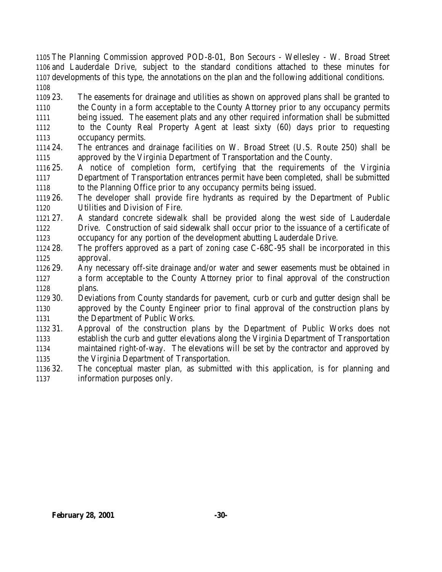The Planning Commission approved POD-8-01, Bon Secours - Wellesley - W. Broad Street and Lauderdale Drive, subject to the standard conditions attached to these minutes for developments of this type, the annotations on the plan and the following additional conditions. 

 23. The easements for drainage and utilities as shown on approved plans shall be granted to the County in a form acceptable to the County Attorney prior to any occupancy permits being issued. The easement plats and any other required information shall be submitted to the County Real Property Agent at least sixty (60) days prior to requesting occupancy permits.

 24. The entrances and drainage facilities on W. Broad Street (U.S. Route 250) shall be approved by the Virginia Department of Transportation and the County.

 25. A notice of completion form, certifying that the requirements of the Virginia Department of Transportation entrances permit have been completed, shall be submitted to the Planning Office prior to any occupancy permits being issued.

 26. The developer shall provide fire hydrants as required by the Department of Public Utilities and Division of Fire.

 27. A standard concrete sidewalk shall be provided along the west side of Lauderdale Drive. Construction of said sidewalk shall occur prior to the issuance of a certificate of occupancy for any portion of the development abutting Lauderdale Drive.

 28. The proffers approved as a part of zoning case C-68C-95 shall be incorporated in this approval.

 29. Any necessary off-site drainage and/or water and sewer easements must be obtained in a form acceptable to the County Attorney prior to final approval of the construction plans.

 30. Deviations from County standards for pavement, curb or curb and gutter design shall be approved by the County Engineer prior to final approval of the construction plans by the Department of Public Works.

 31. Approval of the construction plans by the Department of Public Works does not establish the curb and gutter elevations along the Virginia Department of Transportation maintained right-of-way. The elevations will be set by the contractor and approved by the Virginia Department of Transportation.

 32. The conceptual master plan, as submitted with this application, is for planning and information purposes only.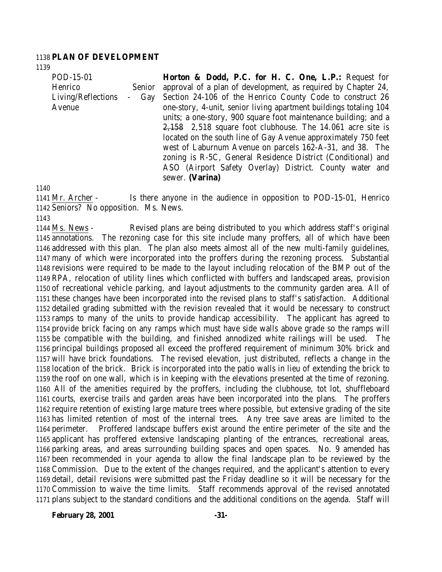#### **PLAN OF DEVELOPMENT**

POD-15-01 Henrico Senior Living/Reflections - Gay Avenue

**Horton & Dodd, P.C. for H. C. One, L.P.:** Request for approval of a plan of development, as required by Chapter 24, Section 24-106 of the Henrico County Code to construct 26 one-story, 4-unit, senior living apartment buildings totaling 104 units; a one-story, 900 square foot maintenance building; and a  $2,158$  2,518 square foot clubhouse. The 14.061 acre site is located on the south line of Gay Avenue approximately 750 feet west of Laburnum Avenue on parcels 162-A-31, and 38. The zoning is R-5C, General Residence District (Conditional) and ASO (Airport Safety Overlay) District. County water and sewer. **(Varina)**

 Mr. Archer - Is there anyone in the audience in opposition to POD-15-01, Henrico Seniors? No opposition. Ms. News.

 Ms. News - Revised plans are being distributed to you which address staff's original annotations. The rezoning case for this site include many proffers, all of which have been addressed with this plan. The plan also meets almost all of the new multi-family guidelines, many of which were incorporated into the proffers during the rezoning process. Substantial revisions were required to be made to the layout including relocation of the BMP out of the RPA, relocation of utility lines which conflicted with buffers and landscaped areas, provision of recreational vehicle parking, and layout adjustments to the community garden area. All of these changes have been incorporated into the revised plans to staff's satisfaction. Additional detailed grading submitted with the revision revealed that it would be necessary to construct ramps to many of the units to provide handicap accessibility. The applicant has agreed to provide brick facing on any ramps which must have side walls above grade so the ramps will be compatible with the building, and finished annodized white railings will be used. The principal buildings proposed all exceed the proffered requirement of minimum 30% brick and will have brick foundations. The revised elevation, just distributed, reflects a change in the location of the brick. Brick is incorporated into the patio walls in lieu of extending the brick to the roof on one wall, which is in keeping with the elevations presented at the time of rezoning. All of the amenities required by the proffers, including the clubhouse, tot lot, shuffleboard courts, exercise trails and garden areas have been incorporated into the plans. The proffers require retention of existing large mature trees where possible, but extensive grading of the site has limited retention of most of the internal trees. Any tree save areas are limited to the perimeter. Proffered landscape buffers exist around the entire perimeter of the site and the applicant has proffered extensive landscaping planting of the entrances, recreational areas, parking areas, and areas surrounding building spaces and open spaces. No. 9 amended has been recommended in your agenda to allow the final landscape plan to be reviewed by the Commission. Due to the extent of the changes required, and the applicant's attention to every detail, detail revisions were submitted past the Friday deadline so it will be necessary for the Commission to waive the time limits. Staff recommends approval of the revised annotated plans subject to the standard conditions and the additional conditions on the agenda. Staff will

**February 28, 2001 -31-**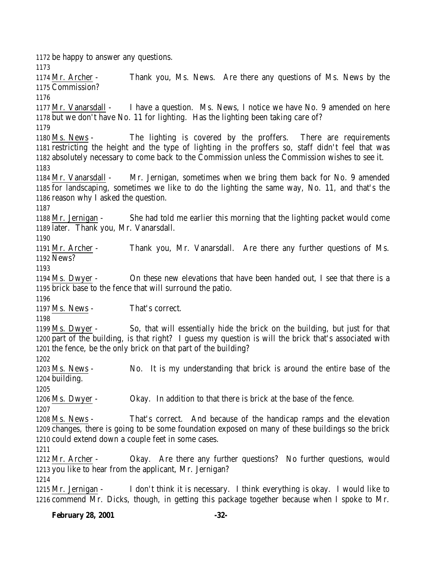be happy to answer any questions. Mr. Archer - Thank you, Ms. News. Are there any questions of Ms. News by the Commission? Mr. Vanarsdall - I have a question. Ms. News, I notice we have No. 9 amended on here but we don't have No. 11 for lighting. Has the lighting been taking care of? Ms. News - The lighting is covered by the proffers. There are requirements restricting the height and the type of lighting in the proffers so, staff didn't feel that was absolutely necessary to come back to the Commission unless the Commission wishes to see it. Mr. Vanarsdall - Mr. Jernigan, sometimes when we bring them back for No. 9 amended for landscaping, sometimes we like to do the lighting the same way, No. 11, and that's the reason why I asked the question. Mr. Jernigan - She had told me earlier this morning that the lighting packet would come later. Thank you, Mr. Vanarsdall. Mr. Archer - Thank you, Mr. Vanarsdall. Are there any further questions of Ms. News? Ms. Dwyer - On these new elevations that have been handed out, I see that there is a brick base to the fence that will surround the patio. Ms. News - That's correct. Ms. Dwyer - So, that will essentially hide the brick on the building, but just for that part of the building, is that right? I guess my question is will the brick that's associated with the fence, be the only brick on that part of the building? Ms. News - No. It is my understanding that brick is around the entire base of the building. Ms. Dwyer - Okay. In addition to that there is brick at the base of the fence. Ms. News - That's correct. And because of the handicap ramps and the elevation changes, there is going to be some foundation exposed on many of these buildings so the brick could extend down a couple feet in some cases. Mr. Archer - Okay. Are there any further questions? No further questions, would you like to hear from the applicant, Mr. Jernigan? Mr. Jernigan - I don't think it is necessary. I think everything is okay. I would like to commend Mr. Dicks, though, in getting this package together because when I spoke to Mr.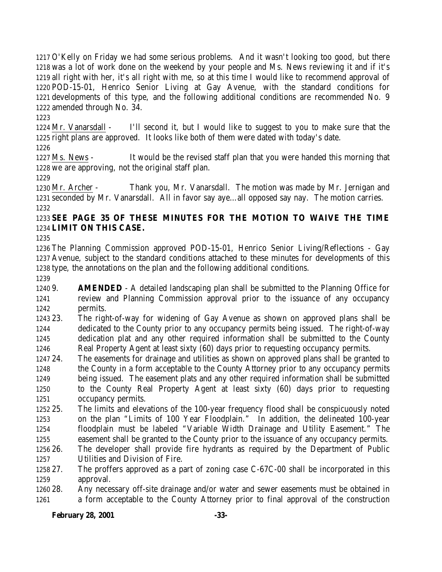O'Kelly on Friday we had some serious problems. And it wasn't looking too good, but there was a lot of work done on the weekend by your people and Ms. News reviewing it and if it's all right with her, it's all right with me, so at this time I would like to recommend approval of POD-15-01, Henrico Senior Living at Gay Avenue, with the standard conditions for developments of this type, and the following additional conditions are recommended No. 9 amended through No. 34.

 Mr. Vanarsdall - I'll second it, but I would like to suggest to you to make sure that the right plans are approved. It looks like both of them were dated with today's date.

 Ms. News - It would be the revised staff plan that you were handed this morning that we are approving, not the original staff plan.

 Mr. Archer - Thank you, Mr. Vanarsdall. The motion was made by Mr. Jernigan and seconded by Mr. Vanarsdall. All in favor say aye…all opposed say nay. The motion carries. 

# **SEE PAGE 35 OF THESE MINUTES FOR THE MOTION TO WAIVE THE TIME LIMIT ON THIS CASE.**

 The Planning Commission approved POD-15-01, Henrico Senior Living/Reflections - Gay Avenue, subject to the standard conditions attached to these minutes for developments of this type, the annotations on the plan and the following additional conditions.

 9. **AMENDED** - A detailed landscaping plan shall be submitted to the Planning Office for review and Planning Commission approval prior to the issuance of any occupancy permits.

 23. The right-of-way for widening of Gay Avenue as shown on approved plans shall be dedicated to the County prior to any occupancy permits being issued. The right-of-way dedication plat and any other required information shall be submitted to the County Real Property Agent at least sixty (60) days prior to requesting occupancy permits.

- 24. The easements for drainage and utilities as shown on approved plans shall be granted to the County in a form acceptable to the County Attorney prior to any occupancy permits being issued. The easement plats and any other required information shall be submitted to the County Real Property Agent at least sixty (60) days prior to requesting occupancy permits.
- 25. The limits and elevations of the 100-year frequency flood shall be conspicuously noted on the plan "Limits of 100 Year Floodplain." In addition, the delineated 100-year floodplain must be labeled "Variable Width Drainage and Utility Easement." The easement shall be granted to the County prior to the issuance of any occupancy permits.
- 26. The developer shall provide fire hydrants as required by the Department of Public Utilities and Division of Fire.
- 27. The proffers approved as a part of zoning case C-67C-00 shall be incorporated in this approval.
- 28. Any necessary off-site drainage and/or water and sewer easements must be obtained in a form acceptable to the County Attorney prior to final approval of the construction

**February 28, 2001 -33-**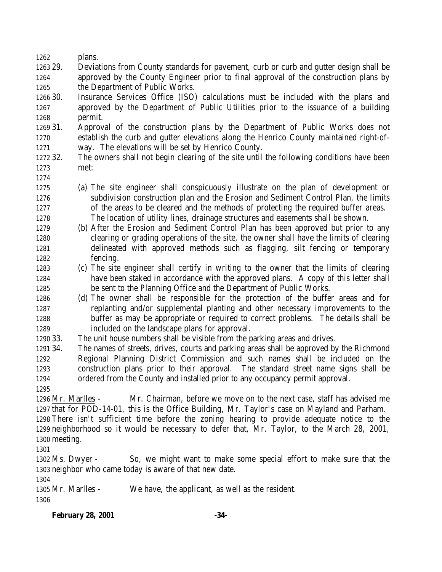plans.

 29. Deviations from County standards for pavement, curb or curb and gutter design shall be approved by the County Engineer prior to final approval of the construction plans by the Department of Public Works.

 30. Insurance Services Office (ISO) calculations must be included with the plans and approved by the Department of Public Utilities prior to the issuance of a building permit.

 31. Approval of the construction plans by the Department of Public Works does not establish the curb and gutter elevations along the Henrico County maintained right-of-way. The elevations will be set by Henrico County.

 32. The owners shall not begin clearing of the site until the following conditions have been met:

- 
- (a) The site engineer shall conspicuously illustrate on the plan of development or subdivision construction plan and the Erosion and Sediment Control Plan, the limits
- 
- 

 of the areas to be cleared and the methods of protecting the required buffer areas. The location of utility lines, drainage structures and easements shall be shown.

- (b) After the Erosion and Sediment Control Plan has been approved but prior to any clearing or grading operations of the site, the owner shall have the limits of clearing delineated with approved methods such as flagging, silt fencing or temporary fencing.
- (c) The site engineer shall certify in writing to the owner that the limits of clearing have been staked in accordance with the approved plans. A copy of this letter shall be sent to the Planning Office and the Department of Public Works.

 (d) The owner shall be responsible for the protection of the buffer areas and for replanting and/or supplemental planting and other necessary improvements to the buffer as may be appropriate or required to correct problems. The details shall be included on the landscape plans for approval.

33. The unit house numbers shall be visible from the parking areas and drives.

 34. The names of streets, drives, courts and parking areas shall be approved by the Richmond Regional Planning District Commission and such names shall be included on the construction plans prior to their approval. The standard street name signs shall be ordered from the County and installed prior to any occupancy permit approval.

 Mr. Marlles - Mr. Chairman, before we move on to the next case, staff has advised me that for POD-14-01, this is the Office Building, Mr. Taylor's case on Mayland and Parham. There isn't sufficient time before the zoning hearing to provide adequate notice to the neighborhood so it would be necessary to defer that, Mr. Taylor, to the March 28, 2001, meeting.

 Ms. Dwyer - So, we might want to make some special effort to make sure that the neighbor who came today is aware of that new date.

 Mr. Marlles - We have, the applicant, as well as the resident.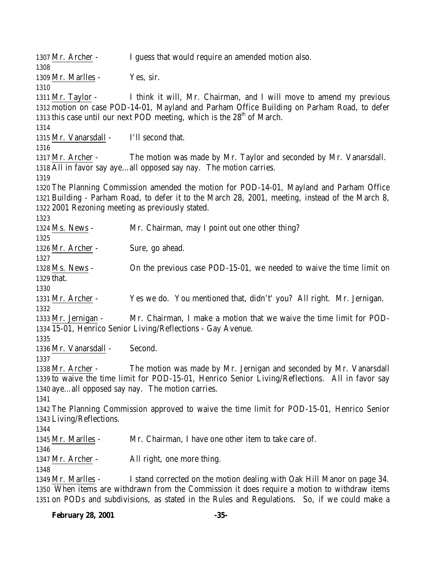1307 Mr. Archer - I guess that would require an amended motion also. Mr. Marlles - Yes, sir. Mr. Taylor - I think it will, Mr. Chairman, and I will move to amend my previous motion on case POD-14-01, Mayland and Parham Office Building on Parham Road, to defer 1313 this case until our next POD meeting, which is the  $28<sup>th</sup>$  of March. Mr. Vanarsdall - I'll second that. Mr. Archer - The motion was made by Mr. Taylor and seconded by Mr. Vanarsdall. All in favor say aye…all opposed say nay. The motion carries. The Planning Commission amended the motion for POD-14-01, Mayland and Parham Office Building - Parham Road, to defer it to the March 28, 2001, meeting, instead of the March 8, 2001 Rezoning meeting as previously stated. Ms. News - Mr. Chairman, may I point out one other thing? Mr. Archer - Sure, go ahead. Ms. News - On the previous case POD-15-01, we needed to waive the time limit on that. Mr. Archer - Yes we do. You mentioned that, didn't' you? All right. Mr. Jernigan. Mr. Jernigan - Mr. Chairman, I make a motion that we waive the time limit for POD- 15-01, Henrico Senior Living/Reflections - Gay Avenue. Mr. Vanarsdall - Second. Mr. Archer - The motion was made by Mr. Jernigan and seconded by Mr. Vanarsdall to waive the time limit for POD-15-01, Henrico Senior Living/Reflections. All in favor say aye…all opposed say nay. The motion carries. The Planning Commission approved to waive the time limit for POD-15-01, Henrico Senior Living/Reflections. Mr. Marlles - Mr. Chairman, I have one other item to take care of. Mr. Archer - All right, one more thing. Mr. Marlles - I stand corrected on the motion dealing with Oak Hill Manor on page 34. When items are withdrawn from the Commission it does require a motion to withdraw items on PODs and subdivisions, as stated in the Rules and Regulations. So, if we could make a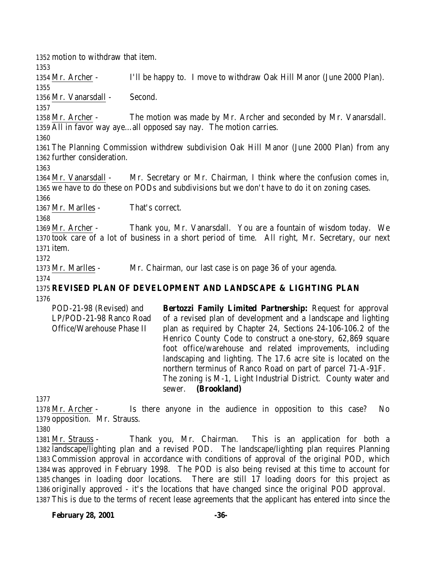Mr. Archer - I'll be happy to. I move to withdraw Oak Hill Manor (June 2000 Plan). Mr. Vanarsdall - Second. Mr. Archer - The motion was made by Mr. Archer and seconded by Mr. Vanarsdall. All in favor way aye…all opposed say nay. The motion carries. The Planning Commission withdrew subdivision Oak Hill Manor (June 2000 Plan) from any further consideration. Mr. Vanarsdall - Mr. Secretary or Mr. Chairman, I think where the confusion comes in, we have to do these on PODs and subdivisions but we don't have to do it on zoning cases. Mr. Marlles - That's correct. Mr. Archer - Thank you, Mr. Vanarsdall. You are a fountain of wisdom today. We took care of a lot of business in a short period of time. All right, Mr. Secretary, our next item. Mr. Marlles - Mr. Chairman, our last case is on page 36 of your agenda. **REVISED PLAN OF DEVELOPMENT AND LANDSCAPE & LIGHTING PLAN** POD-21-98 (Revised) and **Bertozzi Family Limited Partnership:** Request for approval

motion to withdraw that item.

LP/POD-21-98 Ranco Road Office/Warehouse Phase II of a revised plan of development and a landscape and lighting plan as required by Chapter 24, Sections 24-106-106.2 of the Henrico County Code to construct a one-story, 62,869 square foot office/warehouse and related improvements, including landscaping and lighting. The 17.6 acre site is located on the northern terminus of Ranco Road on part of parcel 71-A-91F. The zoning is M-1, Light Industrial District. County water and sewer. **(Brookland)**

 Mr. Archer - Is there anyone in the audience in opposition to this case? No opposition. Mr. Strauss.

 Mr. Strauss - Thank you, Mr. Chairman. This is an application for both a landscape/lighting plan and a revised POD. The landscape/lighting plan requires Planning Commission approval in accordance with conditions of approval of the original POD, which was approved in February 1998. The POD is also being revised at this time to account for changes in loading door locations. There are still 17 loading doors for this project as originally approved - it's the locations that have changed since the original POD approval. This is due to the terms of recent lease agreements that the applicant has entered into since the

**February 28, 2001 -36-**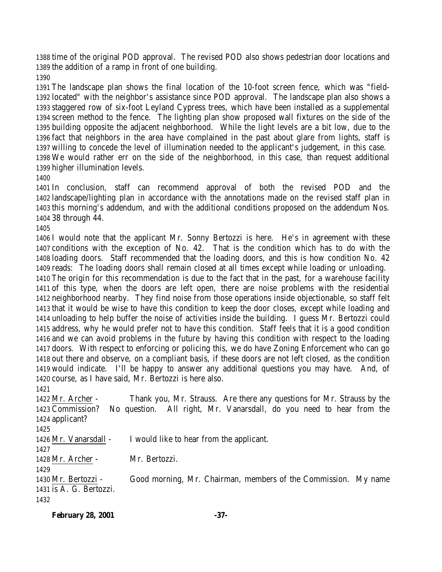time of the original POD approval. The revised POD also shows pedestrian door locations and the addition of a ramp in front of one building.

 The landscape plan shows the final location of the 10-foot screen fence, which was "field- located" with the neighbor's assistance since POD approval. The landscape plan also shows a staggered row of six-foot Leyland Cypress trees, which have been installed as a supplemental screen method to the fence. The lighting plan show proposed wall fixtures on the side of the building opposite the adjacent neighborhood. While the light levels are a bit low, due to the fact that neighbors in the area have complained in the past about glare from lights, staff is willing to concede the level of illumination needed to the applicant's judgement, in this case. We would rather err on the side of the neighborhood, in this case, than request additional higher illumination levels.

 In conclusion, staff can recommend approval of both the revised POD and the landscape/lighting plan in accordance with the annotations made on the revised staff plan in this morning's addendum, and with the additional conditions proposed on the addendum Nos. 38 through 44.

 I would note that the applicant Mr. Sonny Bertozzi is here. He's in agreement with these conditions with the exception of No. 42. That is the condition which has to do with the loading doors. Staff recommended that the loading doors, and this is how condition No. 42 reads: The loading doors shall remain closed at all times except while loading or unloading.

 The origin for this recommendation is due to the fact that in the past, for a warehouse facility of this type, when the doors are left open, there are noise problems with the residential neighborhood nearby. They find noise from those operations inside objectionable, so staff felt that it would be wise to have this condition to keep the door closes, except while loading and unloading to help buffer the noise of activities inside the building. I guess Mr. Bertozzi could address, why he would prefer not to have this condition. Staff feels that it is a good condition and we can avoid problems in the future by having this condition with respect to the loading doors. With respect to enforcing or policing this, we do have Zoning Enforcement who can go out there and observe, on a compliant basis, if these doors are not left closed, as the condition would indicate. I'll be happy to answer any additional questions you may have. And, of course, as I have said, Mr. Bertozzi is here also.

 Mr. Archer - Thank you, Mr. Strauss. Are there any questions for Mr. Strauss by the Commission? No question. All right, Mr. Vanarsdall, do you need to hear from the applicant? Mr. Vanarsdall - I would like to hear from the applicant. Mr. Archer - Mr. Bertozzi. Mr. Bertozzi - Good morning, Mr. Chairman, members of the Commission. My name is A. G. Bertozzi. 

| <b>February 28, 2001</b> | $-37-$ |
|--------------------------|--------|
|                          |        |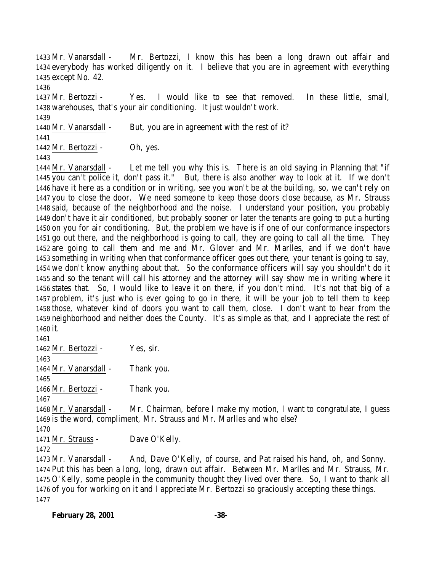Mr. Vanarsdall - Mr. Bertozzi, I know this has been a long drawn out affair and everybody has worked diligently on it. I believe that you are in agreement with everything except No. 42.

 Mr. Bertozzi - Yes. I would like to see that removed. In these little, small, warehouses, that's your air conditioning. It just wouldn't work. 

1440 Mr. Vanarsdall - But, you are in agreement with the rest of it?

Mr. Bertozzi - Oh, yes.

 Mr. Vanarsdall - Let me tell you why this is. There is an old saying in Planning that "if you can't police it, don't pass it." But, there is also another way to look at it. If we don't have it here as a condition or in writing, see you won't be at the building, so, we can't rely on you to close the door. We need someone to keep those doors close because, as Mr. Strauss said, because of the neighborhood and the noise. I understand your position, you probably don't have it air conditioned, but probably sooner or later the tenants are going to put a hurting on you for air conditioning. But, the problem we have is if one of our conformance inspectors go out there, and the neighborhood is going to call, they are going to call all the time. They are going to call them and me and Mr. Glover and Mr. Marlles, and if we don't have something in writing when that conformance officer goes out there, your tenant is going to say, we don't know anything about that. So the conformance officers will say you shouldn't do it and so the tenant will call his attorney and the attorney will say show me in writing where it states that. So, I would like to leave it on there, if you don't mind. It's not that big of a problem, it's just who is ever going to go in there, it will be your job to tell them to keep those, whatever kind of doors you want to call them, close. I don't want to hear from the neighborhood and neither does the County. It's as simple as that, and I appreciate the rest of it.

 Mr. Bertozzi - Yes, sir. Mr. Vanarsdall - Thank you. 

Mr. Bertozzi - Thank you.

 Mr. Vanarsdall - Mr. Chairman, before I make my motion, I want to congratulate, I guess is the word, compliment, Mr. Strauss and Mr. Marlles and who else?

Mr. Strauss - Dave O'Kelly.

 Mr. Vanarsdall - And, Dave O'Kelly, of course, and Pat raised his hand, oh, and Sonny. Put this has been a long, long, drawn out affair. Between Mr. Marlles and Mr. Strauss, Mr. O'Kelly, some people in the community thought they lived over there. So, I want to thank all of you for working on it and I appreciate Mr. Bertozzi so graciously accepting these things.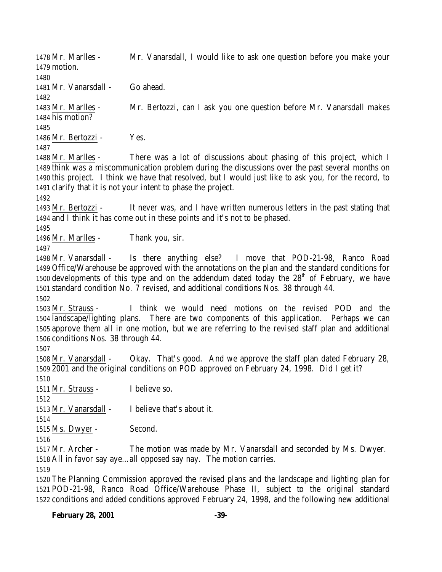Mr. Marlles - Mr. Vanarsdall, I would like to ask one question before you make your motion. Mr. Vanarsdall - Go ahead. Mr. Marlles - Mr. Bertozzi, can I ask you one question before Mr. Vanarsdall makes his motion? Mr. Bertozzi - Yes. Mr. Marlles - There was a lot of discussions about phasing of this project, which I think was a miscommunication problem during the discussions over the past several months on this project. I think we have that resolved, but I would just like to ask you, for the record, to clarify that it is not your intent to phase the project. Mr. Bertozzi - It never was, and I have written numerous letters in the past stating that and I think it has come out in these points and it's not to be phased. Mr. Marlles - Thank you, sir. Mr. Vanarsdall - Is there anything else? I move that POD-21-98, Ranco Road Office/Warehouse be approved with the annotations on the plan and the standard conditions for 1500 developments of this type and on the addendum dated today the  $28<sup>th</sup>$  of February, we have standard condition No. 7 revised, and additional conditions Nos. 38 through 44. Mr. Strauss - I think we would need motions on the revised POD and the landscape/lighting plans. There are two components of this application. Perhaps we can approve them all in one motion, but we are referring to the revised staff plan and additional conditions Nos. 38 through 44. Mr. Vanarsdall - Okay. That's good. And we approve the staff plan dated February 28, 2001 and the original conditions on POD approved on February 24, 1998. Did I get it? Mr. Strauss - I believe so. Mr. Vanarsdall - I believe that's about it. Ms. Dwyer - Second. Mr. Archer - The motion was made by Mr. Vanarsdall and seconded by Ms. Dwyer. All in favor say aye…all opposed say nay. The motion carries. The Planning Commission approved the revised plans and the landscape and lighting plan for POD-21-98, Ranco Road Office/Warehouse Phase II, subject to the original standard

conditions and added conditions approved February 24, 1998, and the following new additional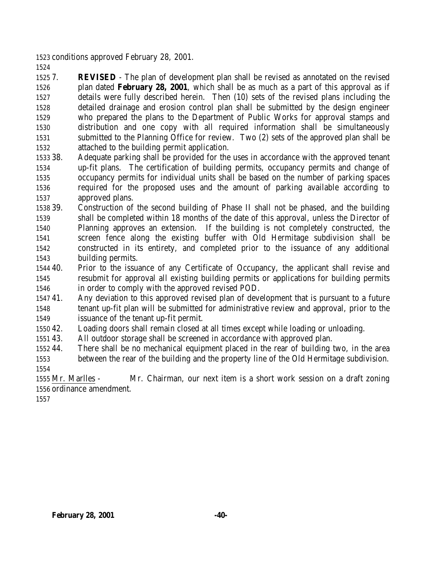conditions approved February 28, 2001.

 7. **REVISED** - The plan of development plan shall be revised as annotated on the revised plan dated **February 28, 2001**, which shall be as much as a part of this approval as if details were fully described herein. Then (10) sets of the revised plans including the detailed drainage and erosion control plan shall be submitted by the design engineer who prepared the plans to the Department of Public Works for approval stamps and distribution and one copy with all required information shall be simultaneously submitted to the Planning Office for review. Two (2) sets of the approved plan shall be attached to the building permit application.

- 38. Adequate parking shall be provided for the uses in accordance with the approved tenant up-fit plans. The certification of building permits, occupancy permits and change of occupancy permits for individual units shall be based on the number of parking spaces required for the proposed uses and the amount of parking available according to approved plans.
- 39. Construction of the second building of Phase II shall not be phased, and the building shall be completed within 18 months of the date of this approval, unless the Director of Planning approves an extension. If the building is not completely constructed, the screen fence along the existing buffer with Old Hermitage subdivision shall be constructed in its entirety, and completed prior to the issuance of any additional building permits.
- 40. Prior to the issuance of any Certificate of Occupancy, the applicant shall revise and resubmit for approval all existing building permits or applications for building permits in order to comply with the approved revised POD.
- 41. Any deviation to this approved revised plan of development that is pursuant to a future tenant up-fit plan will be submitted for administrative review and approval, prior to the issuance of the tenant up-fit permit.
- 42. Loading doors shall remain closed at all times except while loading or unloading.
- 43. All outdoor storage shall be screened in accordance with approved plan.
- 44. There shall be no mechanical equipment placed in the rear of building two, in the area between the rear of the building and the property line of the Old Hermitage subdivision.

 Mr. Marlles - Mr. Chairman, our next item is a short work session on a draft zoning ordinance amendment.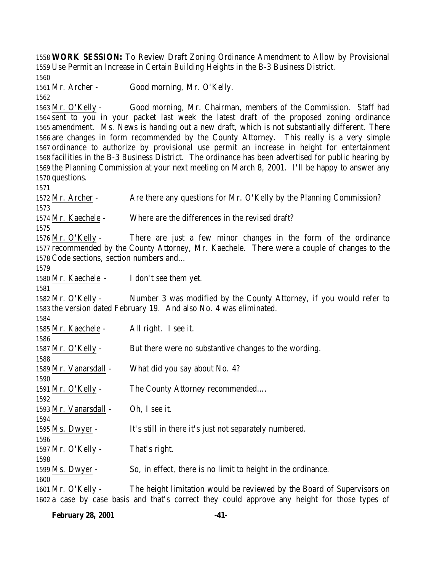**WORK SESSION:** To Review Draft Zoning Ordinance Amendment to Allow by Provisional Use Permit an Increase in Certain Building Heights in the B-3 Business District.

Mr. Archer - Good morning, Mr. O'Kelly.

 Mr. O'Kelly - Good morning, Mr. Chairman, members of the Commission. Staff had sent to you in your packet last week the latest draft of the proposed zoning ordinance amendment. Ms. News is handing out a new draft, which is not substantially different. There are changes in form recommended by the County Attorney. This really is a very simple ordinance to authorize by provisional use permit an increase in height for entertainment facilities in the B-3 Business District. The ordinance has been advertised for public hearing by the Planning Commission at your next meeting on March 8, 2001. I'll be happy to answer any questions.

1572 Mr. Archer - Are there any questions for Mr. O'Kelly by the Planning Commission? Mr. Kaechele - Where are the differences in the revised draft? Mr. O'Kelly - There are just a few minor changes in the form of the ordinance recommended by the County Attorney, Mr. Kaechele. There were a couple of changes to the Code sections, section numbers and… Mr. Kaechele - I don't see them yet. Mr. O'Kelly - Number 3 was modified by the County Attorney, if you would refer to the version dated February 19. And also No. 4 was eliminated. Mr. Kaechele - All right. I see it. 1587 Mr. O'Kelly - But there were no substantive changes to the wording. Mr. Vanarsdall - What did you say about No. 4? Mr. O'Kelly - The County Attorney recommended…. Mr. Vanarsdall - Oh, I see it. Ms. Dwyer - It's still in there it's just not separately numbered. Mr. O'Kelly - That's right. Ms. Dwyer - So, in effect, there is no limit to height in the ordinance. Mr. O'Kelly - The height limitation would be reviewed by the Board of Supervisors on

a case by case basis and that's correct they could approve any height for those types of

**February 28, 2001 -41-**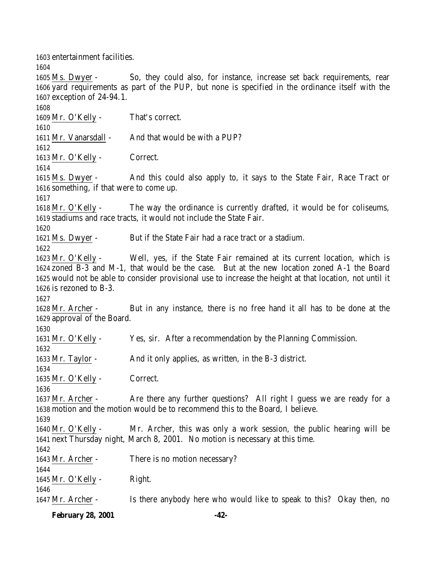entertainment facilities.

**February 28, 2001 -42-** exception of 24-94.1. Mr. O'Kelly - That's correct. 1611 Mr. Vanarsdall - And that would be with a PUP? Mr. O'Kelly - Correct. Ms. Dwyer - And this could also apply to, it says to the State Fair, Race Tract or something, if that were to come up. Mr. O'Kelly - The way the ordinance is currently drafted, it would be for coliseums, stadiums and race tracts, it would not include the State Fair. Ms. Dwyer - But if the State Fair had a race tract or a stadium. Mr. O'Kelly - Well, yes, if the State Fair remained at its current location, which is zoned B-3 and M-1, that would be the case. But at the new location zoned A-1 the Board would not be able to consider provisional use to increase the height at that location, not until it is rezoned to B-3. Mr. Archer - But in any instance, there is no free hand it all has to be done at the approval of the Board. Mr. O'Kelly - Yes, sir. After a recommendation by the Planning Commission. 1633 Mr. Taylor - And it only applies, as written, in the B-3 district. Mr. O'Kelly - Correct. 1637 Mr. Archer - Are there any further questions? All right I guess we are ready for a motion and the motion would be to recommend this to the Board, I believe. Mr. O'Kelly - Mr. Archer, this was only a work session, the public hearing will be next Thursday night, March 8, 2001. No motion is necessary at this time. 1643 Mr. Archer - There is no motion necessary? Mr. O'Kelly - Right. Mr. Archer - Is there anybody here who would like to speak to this? Okay then, no

 Ms. Dwyer - So, they could also, for instance, increase set back requirements, rear yard requirements as part of the PUP, but none is specified in the ordinance itself with the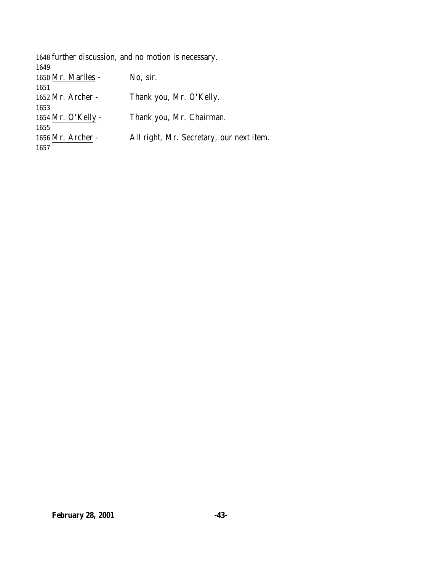| 1648 further discussion, and no motion is necessary. |                                          |
|------------------------------------------------------|------------------------------------------|
| 1649                                                 |                                          |
| 1650 Mr. Marlles -                                   | No, sir.                                 |
| 1651                                                 |                                          |
| 1652 Mr. Archer -                                    | Thank you, Mr. O'Kelly.                  |
| 1653                                                 |                                          |
| 1654 Mr. O'Kelly -                                   | Thank you, Mr. Chairman.                 |
| 1655                                                 |                                          |
| 1656 Mr. Archer -                                    | All right, Mr. Secretary, our next item. |
| 1657                                                 |                                          |
|                                                      |                                          |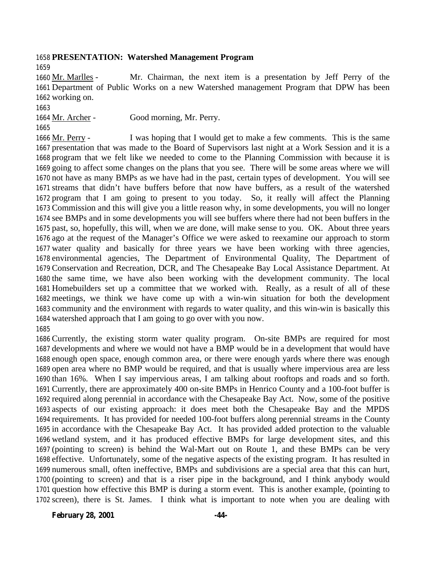#### **PRESENTATION: Watershed Management Program**

 Mr. Marlles - Mr. Chairman, the next item is a presentation by Jeff Perry of the Department of Public Works on a new Watershed management Program that DPW has been working on.

1664 Mr. Archer - Good morning, Mr. Perry.

1666 Mr. Perry - I was hoping that I would get to make a few comments. This is the same presentation that was made to the Board of Supervisors last night at a Work Session and it is a program that we felt like we needed to come to the Planning Commission with because it is going to affect some changes on the plans that you see. There will be some areas where we will not have as many BMPs as we have had in the past, certain types of development. You will see streams that didn't have buffers before that now have buffers, as a result of the watershed program that I am going to present to you today. So, it really will affect the Planning Commission and this will give you a little reason why, in some developments, you will no longer see BMPs and in some developments you will see buffers where there had not been buffers in the past, so, hopefully, this will, when we are done, will make sense to you. OK. About three years ago at the request of the Manager's Office we were asked to reexamine our approach to storm water quality and basically for three years we have been working with three agencies, environmental agencies, The Department of Environmental Quality, The Department of Conservation and Recreation, DCR, and The Chesapeake Bay Local Assistance Department. At the same time, we have also been working with the development community. The local Homebuilders set up a committee that we worked with. Really, as a result of all of these meetings, we think we have come up with a win-win situation for both the development community and the environment with regards to water quality, and this win-win is basically this watershed approach that I am going to go over with you now. 

 Currently, the existing storm water quality program. On-site BMPs are required for most developments and where we would not have a BMP would be in a development that would have enough open space, enough common area, or there were enough yards where there was enough open area where no BMP would be required, and that is usually where impervious area are less than 16%. When I say impervious areas, I am talking about rooftops and roads and so forth. Currently, there are approximately 400 on-site BMPs in Henrico County and a 100-foot buffer is required along perennial in accordance with the Chesapeake Bay Act. Now, some of the positive aspects of our existing approach: it does meet both the Chesapeake Bay and the MPDS requirements. It has provided for needed 100-foot buffers along perennial streams in the County in accordance with the Chesapeake Bay Act. It has provided added protection to the valuable wetland system, and it has produced effective BMPs for large development sites, and this (pointing to screen) is behind the Wal-Mart out on Route 1, and these BMPs can be very effective. Unfortunately, some of the negative aspects of the existing program. It has resulted in numerous small, often ineffective, BMPs and subdivisions are a special area that this can hurt, (pointing to screen) and that is a riser pipe in the background, and I think anybody would question how effective this BMP is during a storm event. This is another example, (pointing to screen), there is St. James. I think what is important to note when you are dealing with

**February 28, 2001 -44-**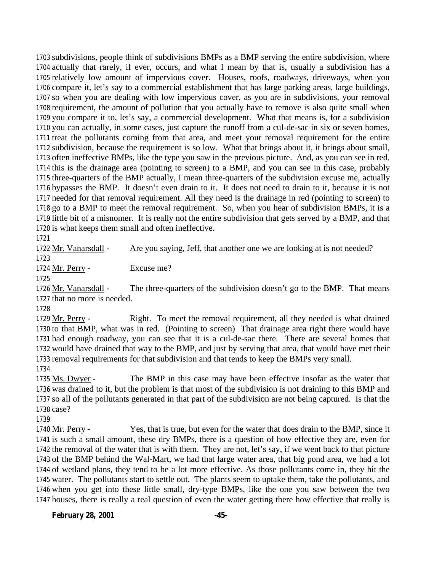subdivisions, people think of subdivisions BMPs as a BMP serving the entire subdivision, where actually that rarely, if ever, occurs, and what I mean by that is, usually a subdivision has a relatively low amount of impervious cover. Houses, roofs, roadways, driveways, when you compare it, let's say to a commercial establishment that has large parking areas, large buildings, so when you are dealing with low impervious cover, as you are in subdivisions, your removal requirement, the amount of pollution that you actually have to remove is also quite small when you compare it to, let's say, a commercial development. What that means is, for a subdivision you can actually, in some cases, just capture the runoff from a cul-de-sac in six or seven homes, treat the pollutants coming from that area, and meet your removal requirement for the entire subdivision, because the requirement is so low. What that brings about it, it brings about small, often ineffective BMPs, like the type you saw in the previous picture. And, as you can see in red, this is the drainage area (pointing to screen) to a BMP, and you can see in this case, probably three-quarters of the BMP actually, I mean three-quarters of the subdivision excuse me, actually bypasses the BMP. It doesn't even drain to it. It does not need to drain to it, because it is not needed for that removal requirement. All they need is the drainage in red (pointing to screen) to go to a BMP to meet the removal requirement. So, when you hear of subdivision BMPs, it is a little bit of a misnomer. It is really not the entire subdivision that gets served by a BMP, and that is what keeps them small and often ineffective.

 Mr. Vanarsdall - Are you saying, Jeff, that another one we are looking at is not needed? 

Mr. Perry - Excuse me?

1726 Mr. Vanarsdall - The three-quarters of the subdivision doesn't go to the BMP. That means that no more is needed.

 Mr. Perry - Right. To meet the removal requirement, all they needed is what drained to that BMP, what was in red. (Pointing to screen) That drainage area right there would have had enough roadway, you can see that it is a cul-de-sac there. There are several homes that would have drained that way to the BMP, and just by serving that area, that would have met their removal requirements for that subdivision and that tends to keep the BMPs very small.

 Ms. Dwyer - The BMP in this case may have been effective insofar as the water that was drained to it, but the problem is that most of the subdivision is not draining to this BMP and so all of the pollutants generated in that part of the subdivision are not being captured. Is that the case?

 Mr. Perry - Yes, that is true, but even for the water that does drain to the BMP, since it is such a small amount, these dry BMPs, there is a question of how effective they are, even for the removal of the water that is with them. They are not, let's say, if we went back to that picture of the BMP behind the Wal-Mart, we had that large water area, that big pond area, we had a lot of wetland plans, they tend to be a lot more effective. As those pollutants come in, they hit the water. The pollutants start to settle out. The plants seem to uptake them, take the pollutants, and when you get into these little small, dry-type BMPs, like the one you saw between the two houses, there is really a real question of even the water getting there how effective that really is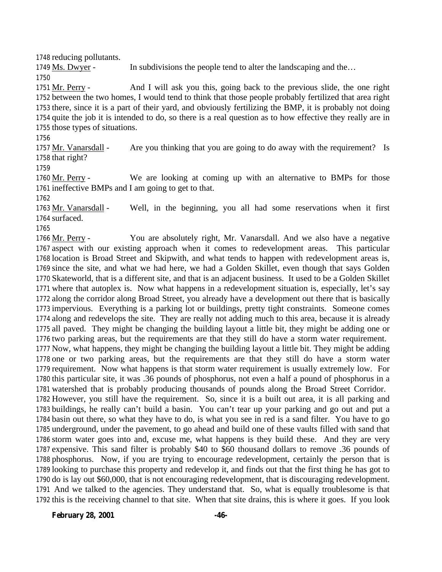reducing pollutants.

1749 Ms. Dwyer - In subdivisions the people tend to alter the landscaping and the...

 Mr. Perry - And I will ask you this, going back to the previous slide, the one right between the two homes, I would tend to think that those people probably fertilized that area right there, since it is a part of their yard, and obviously fertilizing the BMP, it is probably not doing quite the job it is intended to do, so there is a real question as to how effective they really are in those types of situations.

 Mr. Vanarsdall - Are you thinking that you are going to do away with the requirement? Is that right?

 Mr. Perry - We are looking at coming up with an alternative to BMPs for those ineffective BMPs and I am going to get to that.

 Mr. Vanarsdall - Well, in the beginning, you all had some reservations when it first surfaced.

 Mr. Perry - You are absolutely right, Mr. Vanarsdall. And we also have a negative aspect with our existing approach when it comes to redevelopment areas. This particular location is Broad Street and Skipwith, and what tends to happen with redevelopment areas is, since the site, and what we had here, we had a Golden Skillet, even though that says Golden Skateworld, that is a different site, and that is an adjacent business. It used to be a Golden Skillet where that autoplex is. Now what happens in a redevelopment situation is, especially, let's say along the corridor along Broad Street, you already have a development out there that is basically impervious. Everything is a parking lot or buildings, pretty tight constraints. Someone comes along and redevelops the site. They are really not adding much to this area, because it is already all paved. They might be changing the building layout a little bit, they might be adding one or two parking areas, but the requirements are that they still do have a storm water requirement. Now, what happens, they might be changing the building layout a little bit. They might be adding one or two parking areas, but the requirements are that they still do have a storm water requirement. Now what happens is that storm water requirement is usually extremely low. For this particular site, it was .36 pounds of phosphorus, not even a half a pound of phosphorus in a watershed that is probably producing thousands of pounds along the Broad Street Corridor. However, you still have the requirement. So, since it is a built out area, it is all parking and buildings, he really can't build a basin. You can't tear up your parking and go out and put a basin out there, so what they have to do, is what you see in red is a sand filter. You have to go underground, under the pavement, to go ahead and build one of these vaults filled with sand that storm water goes into and, excuse me, what happens is they build these. And they are very expensive. This sand filter is probably \$40 to \$60 thousand dollars to remove .36 pounds of phosphorus. Now, if you are trying to encourage redevelopment, certainly the person that is looking to purchase this property and redevelop it, and finds out that the first thing he has got to do is lay out \$60,000, that is not encouraging redevelopment, that is discouraging redevelopment. And we talked to the agencies. They understand that. So, what is equally troublesome is that this is the receiving channel to that site. When that site drains, this is where it goes. If you look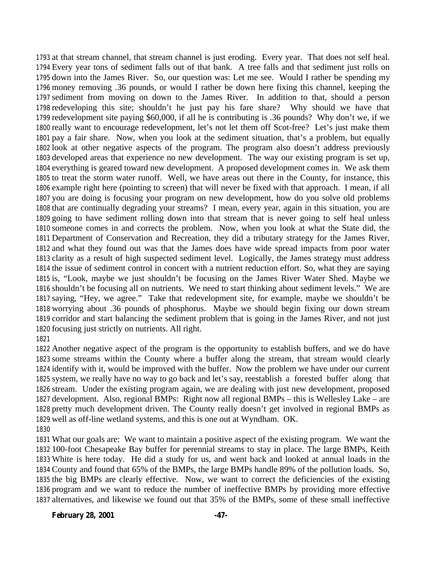at that stream channel, that stream channel is just eroding. Every year. That does not self heal. Every year tons of sediment falls out of that bank. A tree falls and that sediment just rolls on down into the James River. So, our question was: Let me see. Would I rather be spending my money removing .36 pounds, or would I rather be down here fixing this channel, keeping the sediment from moving on down to the James River. In addition to that, should a person redeveloping this site; shouldn't he just pay his fare share? Why should we have that redevelopment site paying \$60,000, if all he is contributing is .36 pounds? Why don't we, if we really want to encourage redevelopment, let's not let them off Scot-free? Let's just make them pay a fair share. Now, when you look at the sediment situation, that's a problem, but equally look at other negative aspects of the program. The program also doesn't address previously developed areas that experience no new development. The way our existing program is set up, everything is geared toward new development. A proposed development comes in. We ask them to treat the storm water runoff. Well, we have areas out there in the County, for instance, this example right here (pointing to screen) that will never be fixed with that approach. I mean, if all you are doing is focusing your program on new development, how do you solve old problems that are continually degrading your streams? I mean, every year, again in this situation, you are going to have sediment rolling down into that stream that is never going to self heal unless someone comes in and corrects the problem. Now, when you look at what the State did, the Department of Conservation and Recreation, they did a tributary strategy for the James River, and what they found out was that the James does have wide spread impacts from poor water clarity as a result of high suspected sediment level. Logically, the James strategy must address the issue of sediment control in concert with a nutrient reduction effort. So, what they are saying is, "Look, maybe we just shouldn't be focusing on the James River Water Shed. Maybe we shouldn't be focusing all on nutrients. We need to start thinking about sediment levels." We are saying, "Hey, we agree." Take that redevelopment site, for example, maybe we shouldn't be worrying about .36 pounds of phosphorus. Maybe we should begin fixing our down stream corridor and start balancing the sediment problem that is going in the James River, and not just focusing just strictly on nutrients. All right.

#### 

 Another negative aspect of the program is the opportunity to establish buffers, and we do have some streams within the County where a buffer along the stream, that stream would clearly identify with it, would be improved with the buffer. Now the problem we have under our current system, we really have no way to go back and let's say, reestablish a forested buffer along that stream. Under the existing program again, we are dealing with just new development, proposed development. Also, regional BMPs: Right now all regional BMPs – this is Wellesley Lake – are pretty much development driven. The County really doesn't get involved in regional BMPs as well as off-line wetland systems, and this is one out at Wyndham. OK. 

 What our goals are: We want to maintain a positive aspect of the existing program. We want the 100-foot Chesapeake Bay buffer for perennial streams to stay in place. The large BMPs, Keith White is here today. He did a study for us, and went back and looked at annual loads in the County and found that 65% of the BMPs, the large BMPs handle 89% of the pollution loads. So, the big BMPs are clearly effective. Now, we want to correct the deficiencies of the existing program and we want to reduce the number of ineffective BMPs by providing more effective alternatives, and likewise we found out that 35% of the BMPs, some of these small ineffective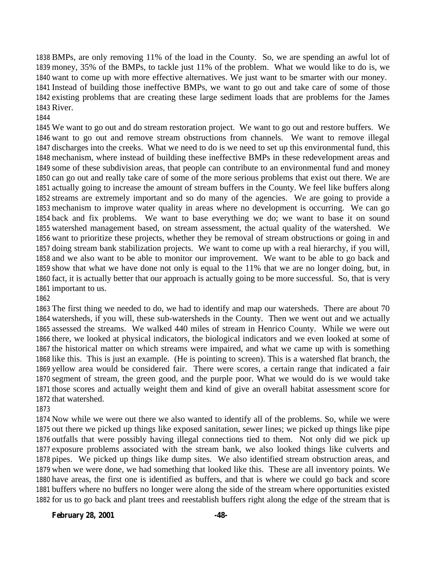BMPs, are only removing 11% of the load in the County. So, we are spending an awful lot of money, 35% of the BMPs, to tackle just 11% of the problem. What we would like to do is, we want to come up with more effective alternatives. We just want to be smarter with our money. Instead of building those ineffective BMPs, we want to go out and take care of some of those existing problems that are creating these large sediment loads that are problems for the James River.

#### 

 We want to go out and do stream restoration project. We want to go out and restore buffers. We want to go out and remove stream obstructions from channels. We want to remove illegal discharges into the creeks. What we need to do is we need to set up this environmental fund, this mechanism, where instead of building these ineffective BMPs in these redevelopment areas and some of these subdivision areas, that people can contribute to an environmental fund and money can go out and really take care of some of the more serious problems that exist out there. We are actually going to increase the amount of stream buffers in the County. We feel like buffers along streams are extremely important and so do many of the agencies. We are going to provide a mechanism to improve water quality in areas where no development is occurring. We can go back and fix problems. We want to base everything we do; we want to base it on sound watershed management based, on stream assessment, the actual quality of the watershed. We want to prioritize these projects, whether they be removal of stream obstructions or going in and doing stream bank stabilization projects. We want to come up with a real hierarchy, if you will, and we also want to be able to monitor our improvement. We want to be able to go back and show that what we have done not only is equal to the 11% that we are no longer doing, but, in fact, it is actually better that our approach is actually going to be more successful. So, that is very important to us.

 The first thing we needed to do, we had to identify and map our watersheds. There are about 70 watersheds, if you will, these sub-watersheds in the County. Then we went out and we actually assessed the streams. We walked 440 miles of stream in Henrico County. While we were out there, we looked at physical indicators, the biological indicators and we even looked at some of the historical matter on which streams were impaired, and what we came up with is something like this. This is just an example. (He is pointing to screen). This is a watershed flat branch, the yellow area would be considered fair. There were scores, a certain range that indicated a fair segment of stream, the green good, and the purple poor. What we would do is we would take those scores and actually weight them and kind of give an overall habitat assessment score for that watershed.

 Now while we were out there we also wanted to identify all of the problems. So, while we were out there we picked up things like exposed sanitation, sewer lines; we picked up things like pipe outfalls that were possibly having illegal connections tied to them. Not only did we pick up exposure problems associated with the stream bank, we also looked things like culverts and pipes. We picked up things like dump sites. We also identified stream obstruction areas, and when we were done, we had something that looked like this. These are all inventory points. We have areas, the first one is identified as buffers, and that is where we could go back and score buffers where no buffers no longer were along the side of the stream where opportunities existed for us to go back and plant trees and reestablish buffers right along the edge of the stream that is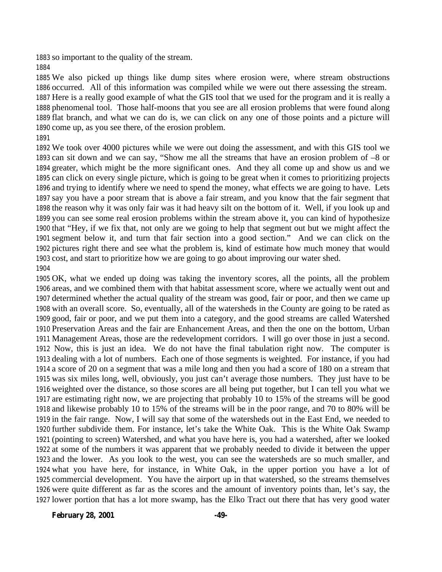so important to the quality of the stream.

 We also picked up things like dump sites where erosion were, where stream obstructions occurred. All of this information was compiled while we were out there assessing the stream. Here is a really good example of what the GIS tool that we used for the program and it is really a phenomenal tool. Those half-moons that you see are all erosion problems that were found along flat branch, and what we can do is, we can click on any one of those points and a picture will come up, as you see there, of the erosion problem. 

 We took over 4000 pictures while we were out doing the assessment, and with this GIS tool we can sit down and we can say, "Show me all the streams that have an erosion problem of –8 or greater, which might be the more significant ones. And they all come up and show us and we can click on every single picture, which is going to be great when it comes to prioritizing projects and trying to identify where we need to spend the money, what effects we are going to have. Lets say you have a poor stream that is above a fair stream, and you know that the fair segment that the reason why it was only fair was it had heavy silt on the bottom of it. Well, if you look up and you can see some real erosion problems within the stream above it, you can kind of hypothesize that "Hey, if we fix that, not only are we going to help that segment out but we might affect the segment below it, and turn that fair section into a good section." And we can click on the pictures right there and see what the problem is, kind of estimate how much money that would cost, and start to prioritize how we are going to go about improving our water shed. 

 OK, what we ended up doing was taking the inventory scores, all the points, all the problem areas, and we combined them with that habitat assessment score, where we actually went out and determined whether the actual quality of the stream was good, fair or poor, and then we came up with an overall score. So, eventually, all of the watersheds in the County are going to be rated as good, fair or poor, and we put them into a category, and the good streams are called Watershed Preservation Areas and the fair are Enhancement Areas, and then the one on the bottom, Urban Management Areas, those are the redevelopment corridors. I will go over those in just a second. Now, this is just an idea. We do not have the final tabulation right now. The computer is dealing with a lot of numbers. Each one of those segments is weighted. For instance, if you had a score of 20 on a segment that was a mile long and then you had a score of 180 on a stream that was six miles long, well, obviously, you just can't average those numbers. They just have to be weighted over the distance, so those scores are all being put together, but I can tell you what we are estimating right now, we are projecting that probably 10 to 15% of the streams will be good and likewise probably 10 to 15% of the streams will be in the poor range, and 70 to 80% will be in the fair range. Now, I will say that some of the watersheds out in the East End, we needed to further subdivide them. For instance, let's take the White Oak. This is the White Oak Swamp (pointing to screen) Watershed, and what you have here is, you had a watershed, after we looked at some of the numbers it was apparent that we probably needed to divide it between the upper and the lower. As you look to the west, you can see the watersheds are so much smaller, and what you have here, for instance, in White Oak, in the upper portion you have a lot of commercial development. You have the airport up in that watershed, so the streams themselves were quite different as far as the scores and the amount of inventory points than, let's say, the lower portion that has a lot more swamp, has the Elko Tract out there that has very good water

**February 28, 2001 -49-**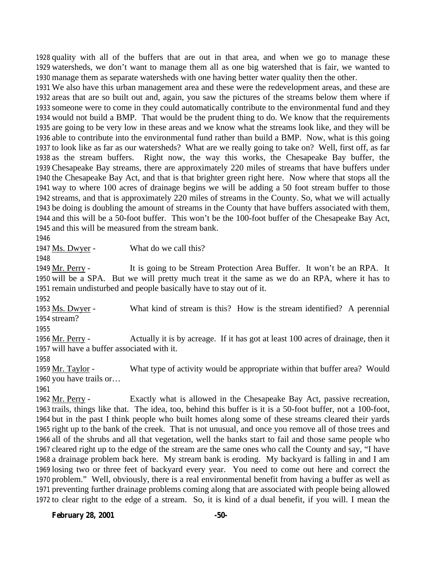quality with all of the buffers that are out in that area, and when we go to manage these watersheds, we don't want to manage them all as one big watershed that is fair, we wanted to manage them as separate watersheds with one having better water quality then the other.

 We also have this urban management area and these were the redevelopment areas, and these are areas that are so built out and, again, you saw the pictures of the streams below them where if someone were to come in they could automatically contribute to the environmental fund and they would not build a BMP. That would be the prudent thing to do. We know that the requirements are going to be very low in these areas and we know what the streams look like, and they will be able to contribute into the environmental fund rather than build a BMP. Now, what is this going to look like as far as our watersheds? What are we really going to take on? Well, first off, as far as the stream buffers. Right now, the way this works, the Chesapeake Bay buffer, the Chesapeake Bay streams, there are approximately 220 miles of streams that have buffers under the Chesapeake Bay Act, and that is that brighter green right here. Now where that stops all the way to where 100 acres of drainage begins we will be adding a 50 foot stream buffer to those streams, and that is approximately 220 miles of streams in the County. So, what we will actually be doing is doubling the amount of streams in the County that have buffers associated with them, and this will be a 50-foot buffer. This won't be the 100-foot buffer of the Chesapeake Bay Act, and this will be measured from the stream bank.

1947 Ms. Dwyer - What do we call this?

 Mr. Perry - It is going to be Stream Protection Area Buffer. It won't be an RPA. It will be a SPA. But we will pretty much treat it the same as we do an RPA, where it has to remain undisturbed and people basically have to stay out of it.

1953 Ms. Dwyer - What kind of stream is this? How is the stream identified? A perennial stream?

 Mr. Perry - Actually it is by acreage. If it has got at least 100 acres of drainage, then it will have a buffer associated with it.

1959 Mr. Taylor - What type of activity would be appropriate within that buffer area? Would you have trails or…

 Mr. Perry - Exactly what is allowed in the Chesapeake Bay Act, passive recreation, trails, things like that. The idea, too, behind this buffer is it is a 50-foot buffer, not a 100-foot, but in the past I think people who built homes along some of these streams cleared their yards right up to the bank of the creek. That is not unusual, and once you remove all of those trees and all of the shrubs and all that vegetation, well the banks start to fail and those same people who cleared right up to the edge of the stream are the same ones who call the County and say, "I have a drainage problem back here. My stream bank is eroding. My backyard is falling in and I am losing two or three feet of backyard every year. You need to come out here and correct the problem." Well, obviously, there is a real environmental benefit from having a buffer as well as preventing further drainage problems coming along that are associated with people being allowed to clear right to the edge of a stream. So, it is kind of a dual benefit, if you will. I mean the

**February 28, 2001 -50-**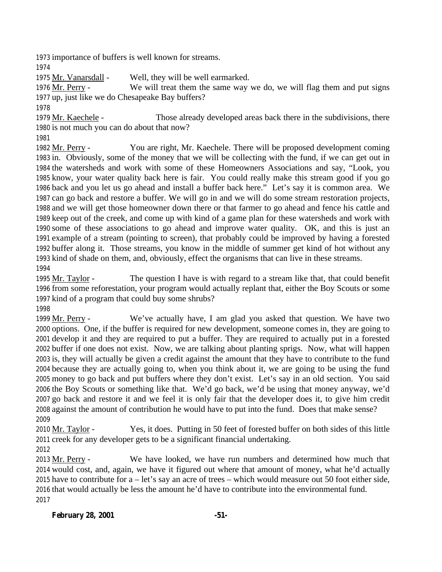importance of buffers is well known for streams.

Mr. Vanarsdall - Well, they will be well earmarked.

 Mr. Perry - We will treat them the same way we do, we will flag them and put signs up, just like we do Chesapeake Bay buffers?

1979 Mr. Kaechele - Those already developed areas back there in the subdivisions, there is not much you can do about that now?

 Mr. Perry - You are right, Mr. Kaechele. There will be proposed development coming in. Obviously, some of the money that we will be collecting with the fund, if we can get out in the watersheds and work with some of these Homeowners Associations and say, "Look, you know, your water quality back here is fair. You could really make this stream good if you go back and you let us go ahead and install a buffer back here." Let's say it is common area. We can go back and restore a buffer. We will go in and we will do some stream restoration projects, and we will get those homeowner down there or that farmer to go ahead and fence his cattle and keep out of the creek, and come up with kind of a game plan for these watersheds and work with some of these associations to go ahead and improve water quality. OK, and this is just an example of a stream (pointing to screen), that probably could be improved by having a forested buffer along it. Those streams, you know in the middle of summer get kind of hot without any kind of shade on them, and, obviously, effect the organisms that can live in these streams. 

 Mr. Taylor - The question I have is with regard to a stream like that, that could benefit from some reforestation, your program would actually replant that, either the Boy Scouts or some kind of a program that could buy some shrubs?

 Mr. Perry - We've actually have, I am glad you asked that question. We have two options. One, if the buffer is required for new development, someone comes in, they are going to develop it and they are required to put a buffer. They are required to actually put in a forested buffer if one does not exist. Now, we are talking about planting sprigs. Now, what will happen is, they will actually be given a credit against the amount that they have to contribute to the fund because they are actually going to, when you think about it, we are going to be using the fund money to go back and put buffers where they don't exist. Let's say in an old section. You said the Boy Scouts or something like that. We'd go back, we'd be using that money anyway, we'd go back and restore it and we feel it is only fair that the developer does it, to give him credit against the amount of contribution he would have to put into the fund. Does that make sense? 

 Mr. Taylor - Yes, it does. Putting in 50 feet of forested buffer on both sides of this little creek for any developer gets to be a significant financial undertaking.

 Mr. Perry - We have looked, we have run numbers and determined how much that would cost, and, again, we have it figured out where that amount of money, what he'd actually have to contribute for a – let's say an acre of trees – which would measure out 50 foot either side, that would actually be less the amount he'd have to contribute into the environmental fund.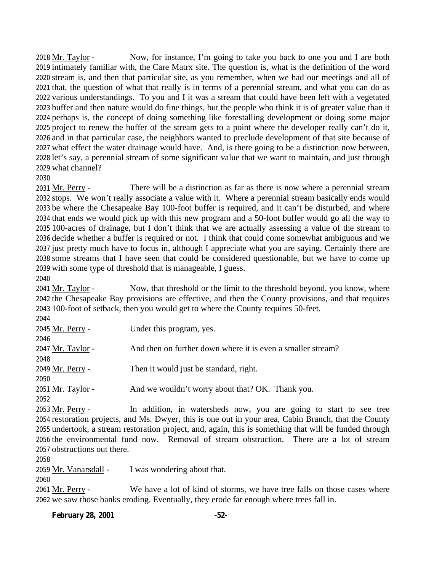2018 Mr. Taylor - Now, for instance, I'm going to take you back to one you and I are both intimately familiar with, the Care Matrx site. The question is, what is the definition of the word stream is, and then that particular site, as you remember, when we had our meetings and all of that, the question of what that really is in terms of a perennial stream, and what you can do as various understandings. To you and I it was a stream that could have been left with a vegetated buffer and then nature would do fine things, but the people who think it is of greater value than it perhaps is, the concept of doing something like forestalling development or doing some major project to renew the buffer of the stream gets to a point where the developer really can't do it, and in that particular case, the neighbors wanted to preclude development of that site because of what effect the water drainage would have. And, is there going to be a distinction now between, let's say, a perennial stream of some significant value that we want to maintain, and just through what channel?

#### 

2031 Mr. Perry - There will be a distinction as far as there is now where a perennial stream stops. We won't really associate a value with it. Where a perennial stream basically ends would be where the Chesapeake Bay 100-foot buffer is required, and it can't be disturbed, and where that ends we would pick up with this new program and a 50-foot buffer would go all the way to 100-acres of drainage, but I don't think that we are actually assessing a value of the stream to decide whether a buffer is required or not. I think that could come somewhat ambiguous and we just pretty much have to focus in, although I appreciate what you are saying. Certainly there are some streams that I have seen that could be considered questionable, but we have to come up with some type of threshold that is manageable, I guess.

2041 Mr. Taylor - Now, that threshold or the limit to the threshold beyond, you know, where the Chesapeake Bay provisions are effective, and then the County provisions, and that requires 100-foot of setback, then you would get to where the County requires 50-feet.

| 2044              |                                                                                  |
|-------------------|----------------------------------------------------------------------------------|
| 2045 Mr. Perry -  | Under this program, yes.                                                         |
| 2046              |                                                                                  |
| 2047 Mr. Taylor - | And then on further down where it is even a smaller stream?                      |
| 2048              |                                                                                  |
| 2049 Mr. Perry -  | Then it would just be standard, right.                                           |
| 2050              |                                                                                  |
| 2051 Mr. Taylor - | And we wouldn't worry about that? OK. Thank you.                                 |
| 2052              |                                                                                  |
| $0.00011$ m       | $\mathbf{r}$ and $\mathbf{r}$ and $\mathbf{r}$ and $\mathbf{r}$ and $\mathbf{r}$ |

 Mr. Perry - In addition, in watersheds now, you are going to start to see tree restoration projects, and Ms. Dwyer, this is one out in your area, Cabin Branch, that the County undertook, a stream restoration project, and, again, this is something that will be funded through the environmental fund now. Removal of stream obstruction. There are a lot of stream obstructions out there.

2059 Mr. Vanarsdall - I was wondering about that.

 Mr. Perry - We have a lot of kind of storms, we have tree falls on those cases where we saw those banks eroding. Eventually, they erode far enough where trees fall in.

#### **February 28, 2001 -52-**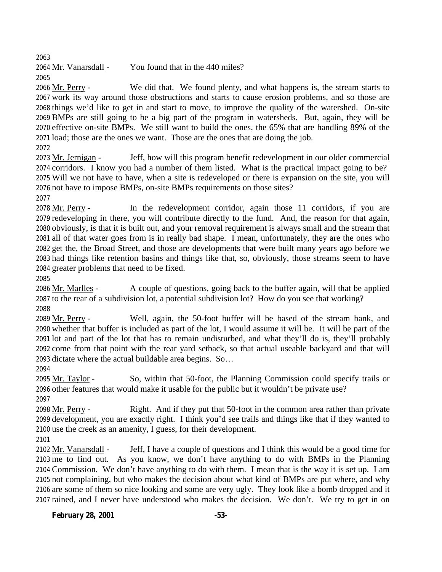Mr. Vanarsdall - You found that in the 440 miles? 

 Mr. Perry - We did that. We found plenty, and what happens is, the stream starts to work its way around those obstructions and starts to cause erosion problems, and so those are things we'd like to get in and start to move, to improve the quality of the watershed. On-site BMPs are still going to be a big part of the program in watersheds. But, again, they will be effective on-site BMPs. We still want to build the ones, the 65% that are handling 89% of the load; those are the ones we want. Those are the ones that are doing the job.

 Mr. Jernigan - Jeff, how will this program benefit redevelopment in our older commercial corridors. I know you had a number of them listed. What is the practical impact going to be? Will we not have to have, when a site is redeveloped or there is expansion on the site, you will not have to impose BMPs, on-site BMPs requirements on those sites?

2078 Mr. Perry - In the redevelopment corridor, again those 11 corridors, if you are redeveloping in there, you will contribute directly to the fund. And, the reason for that again, obviously, is that it is built out, and your removal requirement is always small and the stream that all of that water goes from is in really bad shape. I mean, unfortunately, they are the ones who get the, the Broad Street, and those are developments that were built many years ago before we had things like retention basins and things like that, so, obviously, those streams seem to have greater problems that need to be fixed.

 Mr. Marlles - A couple of questions, going back to the buffer again, will that be applied to the rear of a subdivision lot, a potential subdivision lot? How do you see that working? 

 Mr. Perry - Well, again, the 50-foot buffer will be based of the stream bank, and whether that buffer is included as part of the lot, I would assume it will be. It will be part of the lot and part of the lot that has to remain undisturbed, and what they'll do is, they'll probably come from that point with the rear yard setback, so that actual useable backyard and that will dictate where the actual buildable area begins. So…

 Mr. Taylor - So, within that 50-foot, the Planning Commission could specify trails or other features that would make it usable for the public but it wouldn't be private use?

 Mr. Perry - Right. And if they put that 50-foot in the common area rather than private development, you are exactly right. I think you'd see trails and things like that if they wanted to use the creek as an amenity, I guess, for their development.

 Mr. Vanarsdall - Jeff, I have a couple of questions and I think this would be a good time for me to find out. As you know, we don't have anything to do with BMPs in the Planning Commission. We don't have anything to do with them. I mean that is the way it is set up. I am not complaining, but who makes the decision about what kind of BMPs are put where, and why are some of them so nice looking and some are very ugly. They look like a bomb dropped and it rained, and I never have understood who makes the decision. We don't. We try to get in on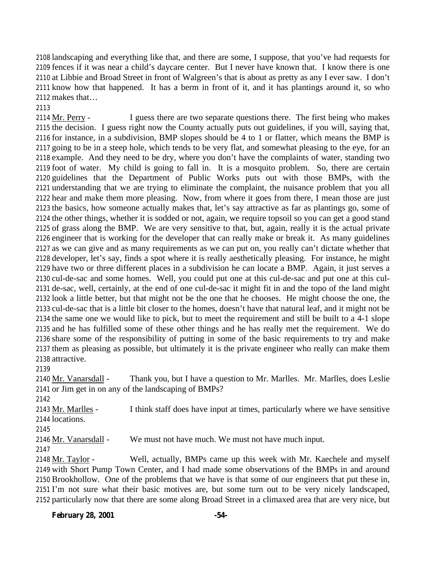landscaping and everything like that, and there are some, I suppose, that you've had requests for fences if it was near a child's daycare center. But I never have known that. I know there is one at Libbie and Broad Street in front of Walgreen's that is about as pretty as any I ever saw. I don't know how that happened. It has a berm in front of it, and it has plantings around it, so who makes that…

2114 Mr. Perry - I guess there are two separate questions there. The first being who makes the decision. I guess right now the County actually puts out guidelines, if you will, saying that, for instance, in a subdivision, BMP slopes should be 4 to 1 or flatter, which means the BMP is going to be in a steep hole, which tends to be very flat, and somewhat pleasing to the eye, for an example. And they need to be dry, where you don't have the complaints of water, standing two foot of water. My child is going to fall in. It is a mosquito problem. So, there are certain guidelines that the Department of Public Works puts out with those BMPs, with the understanding that we are trying to eliminate the complaint, the nuisance problem that you all hear and make them more pleasing. Now, from where it goes from there, I mean those are just the basics, how someone actually makes that, let's say attractive as far as plantings go, some of the other things, whether it is sodded or not, again, we require topsoil so you can get a good stand of grass along the BMP. We are very sensitive to that, but, again, really it is the actual private engineer that is working for the developer that can really make or break it. As many guidelines as we can give and as many requirements as we can put on, you really can't dictate whether that developer, let's say, finds a spot where it is really aesthetically pleasing. For instance, he might have two or three different places in a subdivision he can locate a BMP. Again, it just serves a cul-de-sac and some homes. Well, you could put one at this cul-de-sac and put one at this cul- de-sac, well, certainly, at the end of one cul-de-sac it might fit in and the topo of the land might look a little better, but that might not be the one that he chooses. He might choose the one, the cul-de-sac that is a little bit closer to the homes, doesn't have that natural leaf, and it might not be the same one we would like to pick, but to meet the requirement and still be built to a 4-1 slope and he has fulfilled some of these other things and he has really met the requirement. We do share some of the responsibility of putting in some of the basic requirements to try and make them as pleasing as possible, but ultimately it is the private engineer who really can make them attractive.

 Mr. Vanarsdall - Thank you, but I have a question to Mr. Marlles. Mr. Marlles, does Leslie or Jim get in on any of the landscaping of BMPs?

 Mr. Marlles - I think staff does have input at times, particularly where we have sensitive locations. 2146 Mr. Vanarsdall - We must not have much. We must not have much input.

 Mr. Taylor - Well, actually, BMPs came up this week with Mr. Kaechele and myself with Short Pump Town Center, and I had made some observations of the BMPs in and around Brookhollow. One of the problems that we have is that some of our engineers that put these in, I'm not sure what their basic motives are, but some turn out to be very nicely landscaped, particularly now that there are some along Broad Street in a climaxed area that are very nice, but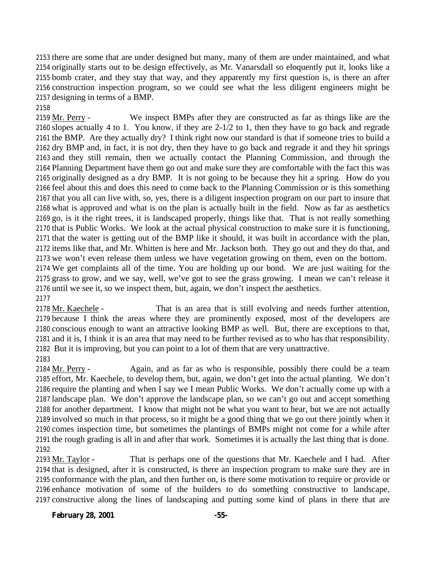there are some that are under designed but many, many of them are under maintained, and what originally starts out to be design effectively, as Mr. Vanarsdall so eloquently put it, looks like a bomb crater, and they stay that way, and they apparently my first question is, is there an after construction inspection program, so we could see what the less diligent engineers might be designing in terms of a BMP.

#### 

2159 Mr. Perry - We inspect BMPs after they are constructed as far as things like are the slopes actually 4 to 1. You know, if they are 2-1/2 to 1, then they have to go back and regrade the BMP. Are they actually dry? I think right now our standard is that if someone tries to build a dry BMP and, in fact, it is not dry, then they have to go back and regrade it and they hit springs and they still remain, then we actually contact the Planning Commission, and through the Planning Department have them go out and make sure they are comfortable with the fact this was originally designed as a dry BMP. It is not going to be because they hit a spring. How do you feel about this and does this need to come back to the Planning Commission or is this something that you all can live with, so, yes, there is a diligent inspection program on our part to insure that what is approved and what is on the plan is actually built in the field. Now as far as aesthetics go, is it the right trees, it is landscaped properly, things like that. That is not really something that is Public Works. We look at the actual physical construction to make sure it is functioning, that the water is getting out of the BMP like it should, it was built in accordance with the plan, items like that, and Mr. Whitten is here and Mr. Jackson both. They go out and they do that, and we won't even release them unless we have vegetation growing on them, even on the bottom. We get complaints all of the time. You are holding up our bond. We are just waiting for the grass to grow, and we say, well, we've got to see the grass growing. I mean we can't release it until we see it, so we inspect them, but, again, we don't inspect the aesthetics. 

 Mr. Kaechele - That is an area that is still evolving and needs further attention, because I think the areas where they are prominently exposed, most of the developers are conscious enough to want an attractive looking BMP as well. But, there are exceptions to that, and it is, I think it is an area that may need to be further revised as to who has that responsibility. But it is improving, but you can point to a lot of them that are very unattractive. 

2184 Mr. Perry - Again, and as far as who is responsible, possibly there could be a team effort, Mr. Kaechele, to develop them, but, again, we don't get into the actual planting. We don't require the planting and when I say we I mean Public Works. We don't actually come up with a landscape plan. We don't approve the landscape plan, so we can't go out and accept something for another department. I know that might not be what you want to hear, but we are not actually involved so much in that process, so it might be a good thing that we go out there jointly when it comes inspection time, but sometimes the plantings of BMPs might not come for a while after the rough grading is all in and after that work. Sometimes it is actually the last thing that is done. 

 Mr. Taylor - That is perhaps one of the questions that Mr. Kaechele and I had. After that is designed, after it is constructed, is there an inspection program to make sure they are in conformance with the plan, and then further on, is there some motivation to require or provide or enhance motivation of some of the builders to do something constructive to landscape, constructive along the lines of landscaping and putting some kind of plans in there that are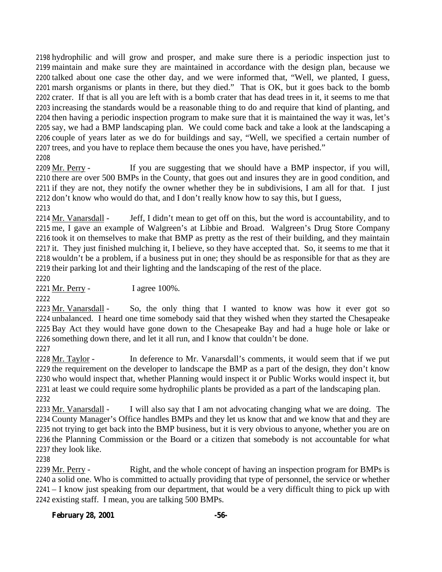hydrophilic and will grow and prosper, and make sure there is a periodic inspection just to maintain and make sure they are maintained in accordance with the design plan, because we talked about one case the other day, and we were informed that, "Well, we planted, I guess, marsh organisms or plants in there, but they died." That is OK, but it goes back to the bomb crater. If that is all you are left with is a bomb crater that has dead trees in it, it seems to me that increasing the standards would be a reasonable thing to do and require that kind of planting, and then having a periodic inspection program to make sure that it is maintained the way it was, let's say, we had a BMP landscaping plan. We could come back and take a look at the landscaping a couple of years later as we do for buildings and say, "Well, we specified a certain number of trees, and you have to replace them because the ones you have, have perished." 

 Mr. Perry - If you are suggesting that we should have a BMP inspector, if you will, there are over 500 BMPs in the County, that goes out and insures they are in good condition, and if they are not, they notify the owner whether they be in subdivisions, I am all for that. I just don't know who would do that, and I don't really know how to say this, but I guess, 

2214 Mr. Vanarsdall - Jeff, I didn't mean to get off on this, but the word is accountability, and to me, I gave an example of Walgreen's at Libbie and Broad. Walgreen's Drug Store Company took it on themselves to make that BMP as pretty as the rest of their building, and they maintain it. They just finished mulching it, I believe, so they have accepted that. So, it seems to me that it wouldn't be a problem, if a business put in one; they should be as responsible for that as they are their parking lot and their lighting and the landscaping of the rest of the place.

Mr. Perry - I agree 100%.

 Mr. Vanarsdall - So, the only thing that I wanted to know was how it ever got so unbalanced. I heard one time somebody said that they wished when they started the Chesapeake Bay Act they would have gone down to the Chesapeake Bay and had a huge hole or lake or something down there, and let it all run, and I know that couldn't be done.

2228 Mr. Taylor - In deference to Mr. Vanarsdall's comments, it would seem that if we put the requirement on the developer to landscape the BMP as a part of the design, they don't know who would inspect that, whether Planning would inspect it or Public Works would inspect it, but at least we could require some hydrophilic plants be provided as a part of the landscaping plan. 

 Mr. Vanarsdall - I will also say that I am not advocating changing what we are doing. The County Manager's Office handles BMPs and they let us know that and we know that and they are not trying to get back into the BMP business, but it is very obvious to anyone, whether you are on the Planning Commission or the Board or a citizen that somebody is not accountable for what they look like.

2239 Mr. Perry - Right, and the whole concept of having an inspection program for BMPs is a solid one. Who is committed to actually providing that type of personnel, the service or whether – I know just speaking from our department, that would be a very difficult thing to pick up with existing staff. I mean, you are talking 500 BMPs.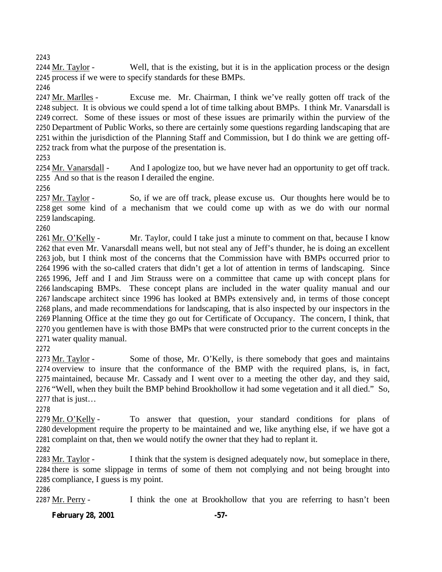2244 Mr. Taylor - Well, that is the existing, but it is in the application process or the design process if we were to specify standards for these BMPs.

2247 Mr. Marlles - Excuse me. Mr. Chairman, I think we've really gotten off track of the subject. It is obvious we could spend a lot of time talking about BMPs. I think Mr. Vanarsdall is correct. Some of these issues or most of these issues are primarily within the purview of the Department of Public Works, so there are certainly some questions regarding landscaping that are within the jurisdiction of the Planning Staff and Commission, but I do think we are getting off-track from what the purpose of the presentation is.

 Mr. Vanarsdall - And I apologize too, but we have never had an opportunity to get off track. And so that is the reason I derailed the engine.

2257 Mr. Taylor - So, if we are off track, please excuse us. Our thoughts here would be to get some kind of a mechanism that we could come up with as we do with our normal landscaping.

2261 Mr. O'Kelly - Mr. Taylor, could I take just a minute to comment on that, because I know that even Mr. Vanarsdall means well, but not steal any of Jeff's thunder, he is doing an excellent job, but I think most of the concerns that the Commission have with BMPs occurred prior to 1996 with the so-called craters that didn't get a lot of attention in terms of landscaping. Since 1996, Jeff and I and Jim Strauss were on a committee that came up with concept plans for landscaping BMPs. These concept plans are included in the water quality manual and our landscape architect since 1996 has looked at BMPs extensively and, in terms of those concept plans, and made recommendations for landscaping, that is also inspected by our inspectors in the Planning Office at the time they go out for Certificate of Occupancy. The concern, I think, that you gentlemen have is with those BMPs that were constructed prior to the current concepts in the water quality manual.

2273 Mr. Taylor - Some of those, Mr. O'Kelly, is there somebody that goes and maintains overview to insure that the conformance of the BMP with the required plans, is, in fact, maintained, because Mr. Cassady and I went over to a meeting the other day, and they said, "Well, when they built the BMP behind Brookhollow it had some vegetation and it all died." So, that is just…

2279 Mr. O'Kelly - To answer that question, your standard conditions for plans of development require the property to be maintained and we, like anything else, if we have got a complaint on that, then we would notify the owner that they had to replant it.

2283 Mr. Taylor - I think that the system is designed adequately now, but someplace in there, there is some slippage in terms of some of them not complying and not being brought into compliance, I guess is my point.

2287 Mr. Perry - I think the one at Brookhollow that you are referring to hasn't been

# **February 28, 2001 -57-**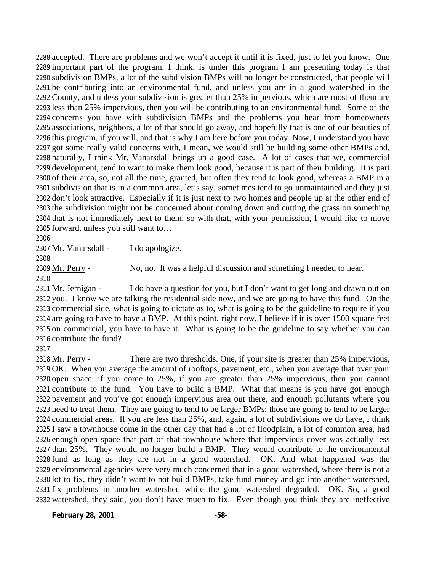accepted. There are problems and we won't accept it until it is fixed, just to let you know. One important part of the program, I think, is under this program I am presenting today is that subdivision BMPs, a lot of the subdivision BMPs will no longer be constructed, that people will be contributing into an environmental fund, and unless you are in a good watershed in the County, and unless your subdivision is greater than 25% impervious, which are most of them are less than 25% impervious, then you will be contributing to an environmental fund. Some of the concerns you have with subdivision BMPs and the problems you hear from homeowners associations, neighbors, a lot of that should go away, and hopefully that is one of our beauties of this program, if you will, and that is why I am here before you today. Now, I understand you have got some really valid concerns with, I mean, we would still be building some other BMPs and, naturally, I think Mr. Vanarsdall brings up a good case. A lot of cases that we, commercial development, tend to want to make them look good, because it is part of their building. It is part of their area, so, not all the time, granted, but often they tend to look good, whereas a BMP in a subdivision that is in a common area, let's say, sometimes tend to go unmaintained and they just don't look attractive. Especially if it is just next to two homes and people up at the other end of the subdivision might not be concerned about coming down and cutting the grass on something that is not immediately next to them, so with that, with your permission, I would like to move forward, unless you still want to…

Mr. Vanarsdall - I do apologize.

Mr. Perry - No, no. It was a helpful discussion and something I needed to hear.

2311 Mr. Jernigan - I do have a question for you, but I don't want to get long and drawn out on you. I know we are talking the residential side now, and we are going to have this fund. On the commercial side, what is going to dictate as to, what is going to be the guideline to require if you are going to have to have a BMP. At this point, right now, I believe if it is over 1500 square feet on commercial, you have to have it. What is going to be the guideline to say whether you can contribute the fund?

2318 Mr. Perry - There are two thresholds. One, if your site is greater than 25% impervious, OK. When you average the amount of rooftops, pavement, etc., when you average that over your open space, if you come to 25%, if you are greater than 25% impervious, then you cannot contribute to the fund. You have to build a BMP. What that means is you have got enough pavement and you've got enough impervious area out there, and enough pollutants where you need to treat them. They are going to tend to be larger BMPs; those are going to tend to be larger commercial areas. If you are less than 25%, and, again, a lot of subdivisions we do have, I think I saw a townhouse come in the other day that had a lot of floodplain, a lot of common area, had enough open space that part of that townhouse where that impervious cover was actually less than 25%. They would no longer build a BMP. They would contribute to the environmental fund as long as they are not in a good watershed. OK. And what happened was the environmental agencies were very much concerned that in a good watershed, where there is not a lot to fix, they didn't want to not build BMPs, take fund money and go into another watershed, fix problems in another watershed while the good watershed degraded. OK. So, a good watershed, they said, you don't have much to fix. Even though you think they are ineffective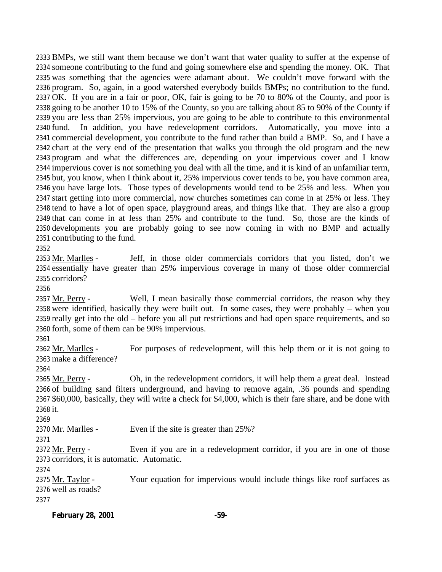BMPs, we still want them because we don't want that water quality to suffer at the expense of someone contributing to the fund and going somewhere else and spending the money. OK. That was something that the agencies were adamant about. We couldn't move forward with the program. So, again, in a good watershed everybody builds BMPs; no contribution to the fund. OK. If you are in a fair or poor, OK, fair is going to be 70 to 80% of the County, and poor is going to be another 10 to 15% of the County, so you are talking about 85 to 90% of the County if you are less than 25% impervious, you are going to be able to contribute to this environmental fund. In addition, you have redevelopment corridors. Automatically, you move into a commercial development, you contribute to the fund rather than build a BMP. So, and I have a chart at the very end of the presentation that walks you through the old program and the new program and what the differences are, depending on your impervious cover and I know impervious cover is not something you deal with all the time, and it is kind of an unfamiliar term, but, you know, when I think about it, 25% impervious cover tends to be, you have common area, you have large lots. Those types of developments would tend to be 25% and less. When you start getting into more commercial, now churches sometimes can come in at 25% or less. They tend to have a lot of open space, playground areas, and things like that. They are also a group that can come in at less than 25% and contribute to the fund. So, those are the kinds of developments you are probably going to see now coming in with no BMP and actually contributing to the fund.

2353 Mr. Marlles - Jeff, in those older commercials corridors that you listed, don't we essentially have greater than 25% impervious coverage in many of those older commercial corridors?

2357 Mr. Perry - Well, I mean basically those commercial corridors, the reason why they were identified, basically they were built out. In some cases, they were probably – when you really get into the old – before you all put restrictions and had open space requirements, and so forth, some of them can be 90% impervious.

2362 Mr. Marlles - For purposes of redevelopment, will this help them or it is not going to make a difference?

 Mr. Perry - Oh, in the redevelopment corridors, it will help them a great deal. Instead of building sand filters underground, and having to remove again, .36 pounds and spending \$60,000, basically, they will write a check for \$4,000, which is their fare share, and be done with it.

2370 Mr. Marlles - Even if the site is greater than 25%?

 Mr. Perry - Even if you are in a redevelopment corridor, if you are in one of those corridors, it is automatic. Automatic.

2375 Mr. Taylor - Your equation for impervious would include things like roof surfaces as well as roads?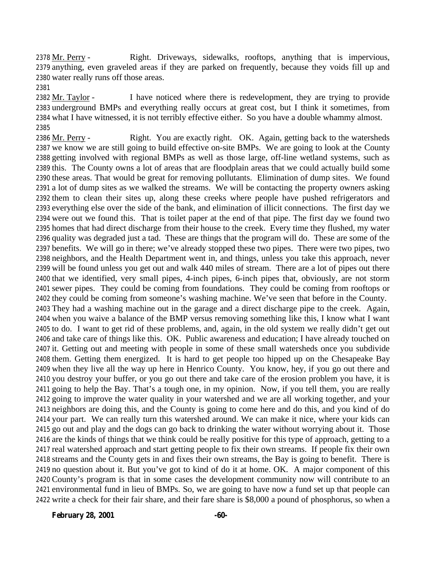Mr. Perry - Right. Driveways, sidewalks, rooftops, anything that is impervious, anything, even graveled areas if they are parked on frequently, because they voids fill up and water really runs off those areas.

 $Mr. Taylor - I$  have noticed where there is redevelopment, they are trying to provide underground BMPs and everything really occurs at great cost, but I think it sometimes, from what I have witnessed, it is not terribly effective either. So you have a double whammy almost. 

2386 Mr. Perry - Right. You are exactly right. OK. Again, getting back to the watersheds we know we are still going to build effective on-site BMPs. We are going to look at the County getting involved with regional BMPs as well as those large, off-line wetland systems, such as this. The County owns a lot of areas that are floodplain areas that we could actually build some these areas. That would be great for removing pollutants. Elimination of dump sites. We found a lot of dump sites as we walked the streams. We will be contacting the property owners asking them to clean their sites up, along these creeks where people have pushed refrigerators and everything else over the side of the bank, and elimination of illicit connections. The first day we were out we found this. That is toilet paper at the end of that pipe. The first day we found two homes that had direct discharge from their house to the creek. Every time they flushed, my water quality was degraded just a tad. These are things that the program will do. These are some of the benefits. We will go in there; we've already stopped these two pipes. There were two pipes, two neighbors, and the Health Department went in, and things, unless you take this approach, never will be found unless you get out and walk 440 miles of stream. There are a lot of pipes out there that we identified, very small pipes, 4-inch pipes, 6-inch pipes that, obviously, are not storm sewer pipes. They could be coming from foundations. They could be coming from rooftops or they could be coming from someone's washing machine. We've seen that before in the County. They had a washing machine out in the garage and a direct discharge pipe to the creek. Again, when you waive a balance of the BMP versus removing something like this, I know what I want to do. I want to get rid of these problems, and, again, in the old system we really didn't get out and take care of things like this. OK. Public awareness and education; I have already touched on it. Getting out and meeting with people in some of these small watersheds once you subdivide them. Getting them energized. It is hard to get people too hipped up on the Chesapeake Bay when they live all the way up here in Henrico County. You know, hey, if you go out there and you destroy your buffer, or you go out there and take care of the erosion problem you have, it is going to help the Bay. That's a tough one, in my opinion. Now, if you tell them, you are really going to improve the water quality in your watershed and we are all working together, and your neighbors are doing this, and the County is going to come here and do this, and you kind of do your part. We can really turn this watershed around. We can make it nice, where your kids can go out and play and the dogs can go back to drinking the water without worrying about it. Those are the kinds of things that we think could be really positive for this type of approach, getting to a real watershed approach and start getting people to fix their own streams. If people fix their own streams and the County gets in and fixes their own streams, the Bay is going to benefit. There is no question about it. But you've got to kind of do it at home. OK. A major component of this County's program is that in some cases the development community now will contribute to an environmental fund in lieu of BMPs. So, we are going to have now a fund set up that people can write a check for their fair share, and their fare share is \$8,000 a pound of phosphorus, so when a

**February 28, 2001 -60-**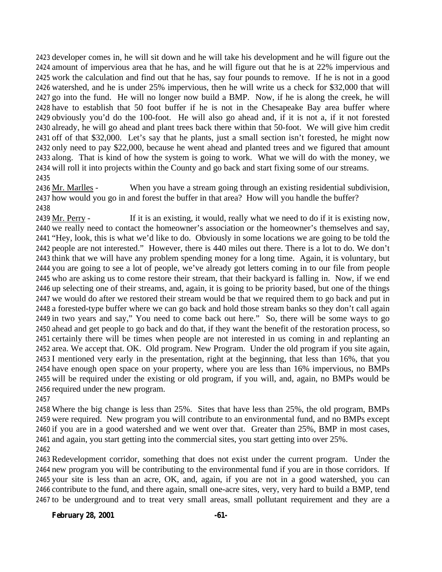developer comes in, he will sit down and he will take his development and he will figure out the amount of impervious area that he has, and he will figure out that he is at 22% impervious and work the calculation and find out that he has, say four pounds to remove. If he is not in a good watershed, and he is under 25% impervious, then he will write us a check for \$32,000 that will go into the fund. He will no longer now build a BMP. Now, if he is along the creek, he will have to establish that 50 foot buffer if he is not in the Chesapeake Bay area buffer where obviously you'd do the 100-foot. He will also go ahead and, if it is not a, if it not forested already, he will go ahead and plant trees back there within that 50-foot. We will give him credit off of that \$32,000. Let's say that he plants, just a small section isn't forested, he might now only need to pay \$22,000, because he went ahead and planted trees and we figured that amount along. That is kind of how the system is going to work. What we will do with the money, we will roll it into projects within the County and go back and start fixing some of our streams. 

2436 Mr. Marlles - When you have a stream going through an existing residential subdivision, how would you go in and forest the buffer in that area? How will you handle the buffer? 

2439 Mr. Perry - If it is an existing, it would, really what we need to do if it is existing now, we really need to contact the homeowner's association or the homeowner's themselves and say, "Hey, look, this is what we'd like to do. Obviously in some locations we are going to be told the people are not interested." However, there is 440 miles out there. There is a lot to do. We don't think that we will have any problem spending money for a long time. Again, it is voluntary, but you are going to see a lot of people, we've already got letters coming in to our file from people who are asking us to come restore their stream, that their backyard is falling in. Now, if we end up selecting one of their streams, and, again, it is going to be priority based, but one of the things we would do after we restored their stream would be that we required them to go back and put in a forested-type buffer where we can go back and hold those stream banks so they don't call again in two years and say," You need to come back out here." So, there will be some ways to go ahead and get people to go back and do that, if they want the benefit of the restoration process, so certainly there will be times when people are not interested in us coming in and replanting an area. We accept that. OK. Old program. New Program. Under the old program if you site again, I mentioned very early in the presentation, right at the beginning, that less than 16%, that you have enough open space on your property, where you are less than 16% impervious, no BMPs will be required under the existing or old program, if you will, and, again, no BMPs would be required under the new program.

 Where the big change is less than 25%. Sites that have less than 25%, the old program, BMPs were required. New program you will contribute to an environmental fund, and no BMPs except if you are in a good watershed and we went over that. Greater than 25%, BMP in most cases, and again, you start getting into the commercial sites, you start getting into over 25%. 

 Redevelopment corridor, something that does not exist under the current program. Under the new program you will be contributing to the environmental fund if you are in those corridors. If your site is less than an acre, OK, and, again, if you are not in a good watershed, you can contribute to the fund, and there again, small one-acre sites, very, very hard to build a BMP, tend to be underground and to treat very small areas, small pollutant requirement and they are a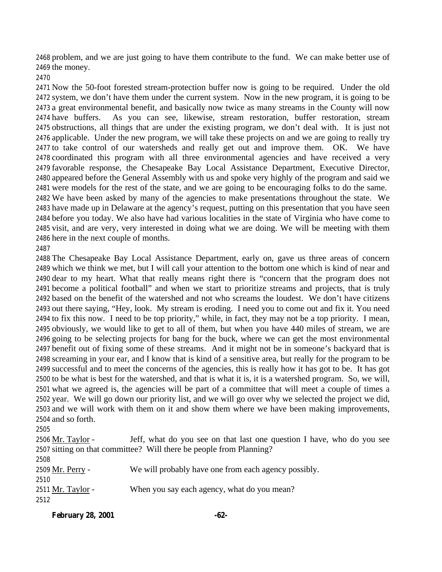problem, and we are just going to have them contribute to the fund. We can make better use of the money.

 Now the 50-foot forested stream-protection buffer now is going to be required. Under the old system, we don't have them under the current system. Now in the new program, it is going to be a great environmental benefit, and basically now twice as many streams in the County will now have buffers. As you can see, likewise, stream restoration, buffer restoration, stream obstructions, all things that are under the existing program, we don't deal with. It is just not applicable. Under the new program, we will take these projects on and we are going to really try to take control of our watersheds and really get out and improve them. OK. We have coordinated this program with all three environmental agencies and have received a very favorable response, the Chesapeake Bay Local Assistance Department, Executive Director, appeared before the General Assembly with us and spoke very highly of the program and said we were models for the rest of the state, and we are going to be encouraging folks to do the same. We have been asked by many of the agencies to make presentations throughout the state. We have made up in Delaware at the agency's request, putting on this presentation that you have seen before you today. We also have had various localities in the state of Virginia who have come to visit, and are very, very interested in doing what we are doing. We will be meeting with them here in the next couple of months.

 The Chesapeake Bay Local Assistance Department, early on, gave us three areas of concern which we think we met, but I will call your attention to the bottom one which is kind of near and dear to my heart. What that really means right there is "concern that the program does not become a political football" and when we start to prioritize streams and projects, that is truly based on the benefit of the watershed and not who screams the loudest. We don't have citizens out there saying, "Hey, look. My stream is eroding. I need you to come out and fix it. You need to fix this now. I need to be top priority," while, in fact, they may not be a top priority. I mean, obviously, we would like to get to all of them, but when you have 440 miles of stream, we are going to be selecting projects for bang for the buck, where we can get the most environmental benefit out of fixing some of these streams. And it might not be in someone's backyard that is screaming in your ear, and I know that is kind of a sensitive area, but really for the program to be successful and to meet the concerns of the agencies, this is really how it has got to be. It has got to be what is best for the watershed, and that is what it is, it is a watershed program. So, we will, what we agreed is, the agencies will be part of a committee that will meet a couple of times a year. We will go down our priority list, and we will go over why we selected the project we did, and we will work with them on it and show them where we have been making improvements, and so forth.

 $2506 \text{ Mr. Taylor}$  - Jeff, what do you see on that last one question I have, who do you see sitting on that committee? Will there be people from Planning? Mr. Perry - We will probably have one from each agency possibly. 2511 Mr. Taylor - When you say each agency, what do you mean?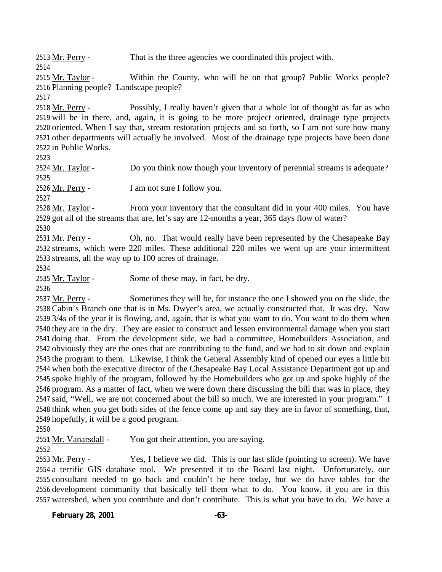2513 Mr. Perry - That is the three agencies we coordinated this project with.

2515 Mr. Taylor - Within the County, who will be on that group? Public Works people? Planning people? Landscape people?

 Mr. Perry - Possibly, I really haven't given that a whole lot of thought as far as who will be in there, and, again, it is going to be more project oriented, drainage type projects oriented. When I say that, stream restoration projects and so forth, so I am not sure how many other departments will actually be involved. Most of the drainage type projects have been done in Public Works.

2524 Mr. Taylor - Do you think now though your inventory of perennial streams is adequate? 2526 Mr. Perry - I am not sure I follow you.

 Mr. Taylor - From your inventory that the consultant did in your 400 miles. You have got all of the streams that are, let's say are 12-months a year, 365 days flow of water?

2531 Mr. Perry - Oh, no. That would really have been represented by the Chesapeake Bay streams, which were 220 miles. These additional 220 miles we went up are your intermittent streams, all the way up to 100 acres of drainage.

2535 Mr. Taylor - Some of these may, in fact, be dry.

 Mr. Perry - Sometimes they will be, for instance the one I showed you on the slide, the Cabin's Branch one that is in Ms. Dwyer's area, we actually constructed that. It was dry. Now 3/4s of the year it is flowing, and, again, that is what you want to do. You want to do them when they are in the dry. They are easier to construct and lessen environmental damage when you start doing that. From the development side, we had a committee, Homebuilders Association, and obviously they are the ones that are contributing to the fund, and we had to sit down and explain the program to them. Likewise, I think the General Assembly kind of opened our eyes a little bit when both the executive director of the Chesapeake Bay Local Assistance Department got up and spoke highly of the program, followed by the Homebuilders who got up and spoke highly of the program. As a matter of fact, when we were down there discussing the bill that was in place, they said, "Well, we are not concerned about the bill so much. We are interested in your program." I think when you get both sides of the fence come up and say they are in favor of something, that, hopefully, it will be a good program.

2551 Mr. Vanarsdall - You got their attention, you are saying.

 Mr. Perry - Yes, I believe we did. This is our last slide (pointing to screen). We have a terrific GIS database tool. We presented it to the Board last night. Unfortunately, our consultant needed to go back and couldn't be here today, but we do have tables for the development community that basically tell them what to do. You know, if you are in this watershed, when you contribute and don't contribute. This is what you have to do. We have a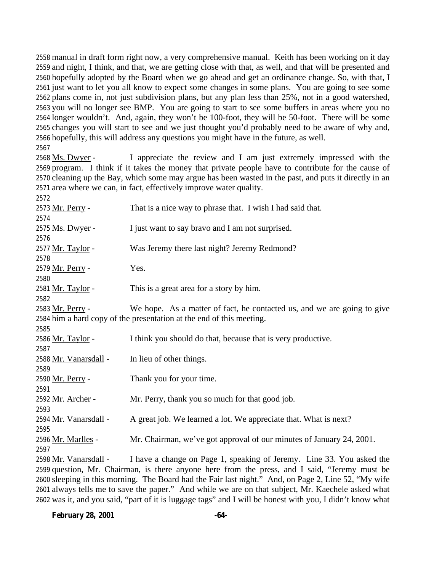manual in draft form right now, a very comprehensive manual. Keith has been working on it day and night, I think, and that, we are getting close with that, as well, and that will be presented and hopefully adopted by the Board when we go ahead and get an ordinance change. So, with that, I just want to let you all know to expect some changes in some plans. You are going to see some plans come in, not just subdivision plans, but any plan less than 25%, not in a good watershed, you will no longer see BMP. You are going to start to see some buffers in areas where you no longer wouldn't. And, again, they won't be 100-foot, they will be 50-foot. There will be some changes you will start to see and we just thought you'd probably need to be aware of why and, hopefully, this will address any questions you might have in the future, as well.

 Ms. Dwyer - I appreciate the review and I am just extremely impressed with the program. I think if it takes the money that private people have to contribute for the cause of cleaning up the Bay, which some may argue has been wasted in the past, and puts it directly in an area where we can, in fact, effectively improve water quality.

| 2572                                                                                          |                                                                         |  |
|-----------------------------------------------------------------------------------------------|-------------------------------------------------------------------------|--|
| 2573 <u>Mr. Perry</u> -                                                                       | That is a nice way to phrase that. I wish I had said that.              |  |
| 2574                                                                                          |                                                                         |  |
| 2575 Ms. Dwyer -                                                                              | I just want to say bravo and I am not surprised.                        |  |
| 2576                                                                                          |                                                                         |  |
| 2577 <u>Mr. Taylor</u> -                                                                      | Was Jeremy there last night? Jeremy Redmond?                            |  |
| 2578                                                                                          |                                                                         |  |
| 2579 Mr. Perry -                                                                              | Yes.                                                                    |  |
| 2580                                                                                          |                                                                         |  |
| 2581 <u>Mr. Taylor</u> -                                                                      | This is a great area for a story by him.                                |  |
| 2582                                                                                          |                                                                         |  |
| 2583 Mr. Perry -                                                                              | We hope. As a matter of fact, he contacted us, and we are going to give |  |
|                                                                                               | 2584 him a hard copy of the presentation at the end of this meeting.    |  |
| 2585                                                                                          |                                                                         |  |
| 2586 Mr. Taylor -                                                                             | I think you should do that, because that is very productive.            |  |
| 2587                                                                                          |                                                                         |  |
| 2588 <u>Mr. Vanarsdall</u> -                                                                  | In lieu of other things.                                                |  |
| 2589                                                                                          |                                                                         |  |
| 2590 Mr. Perry -                                                                              | Thank you for your time.                                                |  |
| 2591                                                                                          |                                                                         |  |
| 2592 <u>Mr. Archer</u> -                                                                      | Mr. Perry, thank you so much for that good job.                         |  |
| 2593                                                                                          |                                                                         |  |
| 2594 Mr. Vanarsdall -                                                                         | A great job. We learned a lot. We appreciate that. What is next?        |  |
| 2595                                                                                          |                                                                         |  |
| 2596 <u>Mr. Marlles</u> -                                                                     | Mr. Chairman, we've got approval of our minutes of January 24, 2001.    |  |
| 2597                                                                                          |                                                                         |  |
| 2598 Mr. Vanarsdall -                                                                         | I have a change on Page 1, speaking of Jeremy. Line 33. You asked the   |  |
| 2599 question, Mr. Chairman, is there anyone here from the press, and I said, "Jeremy must be |                                                                         |  |

 question, Mr. Chairman, is there anyone here from the press, and I said, "Jeremy must be sleeping in this morning. The Board had the Fair last night." And, on Page 2, Line 52, "My wife always tells me to save the paper." And while we are on that subject, Mr. Kaechele asked what was it, and you said, "part of it is luggage tags" and I will be honest with you, I didn't know what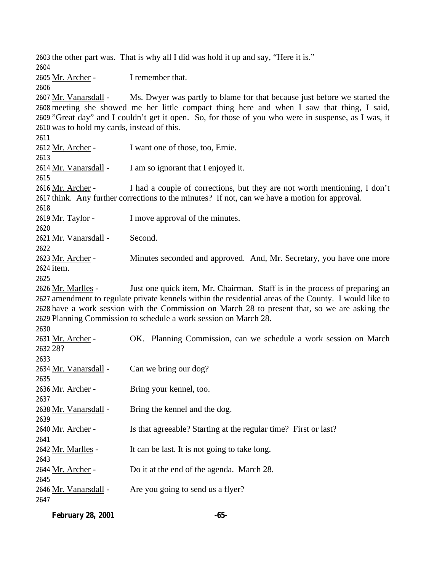the other part was. That is why all I did was hold it up and say, "Here it is." Mr. Archer - I remember that. Mr. Vanarsdall - Ms. Dwyer was partly to blame for that because just before we started the meeting she showed me her little compact thing here and when I saw that thing, I said, "Great day" and I couldn't get it open. So, for those of you who were in suspense, as I was, it was to hold my cards, instead of this. Mr. Archer - I want one of those, too, Ernie. Mr. Vanarsdall - I am so ignorant that I enjoyed it. Mr. Archer - I had a couple of corrections, but they are not worth mentioning, I don't think. Any further corrections to the minutes? If not, can we have a motion for approval. 2619 Mr. Taylor - I move approval of the minutes. Mr. Vanarsdall - Second. 2623 Mr. Archer - Minutes seconded and approved. And, Mr. Secretary, you have one more item. 2626 Mr. Marlles - Just one quick item, Mr. Chairman. Staff is in the process of preparing an amendment to regulate private kennels within the residential areas of the County. I would like to have a work session with the Commission on March 28 to present that, so we are asking the Planning Commission to schedule a work session on March 28. Mr. Archer - OK. Planning Commission, can we schedule a work session on March 28? 2634 Mr. Vanarsdall - Can we bring our dog? Mr. Archer - Bring your kennel, too. Mr. Vanarsdall - Bring the kennel and the dog. Mr. Archer - Is that agreeable? Starting at the regular time? First or last? Mr. Marlles - It can be last. It is not going to take long. Mr. Archer - Do it at the end of the agenda. March 28. 2646 Mr. Vanarsdall - Are you going to send us a flyer? 

**February 28, 2001 -65-**